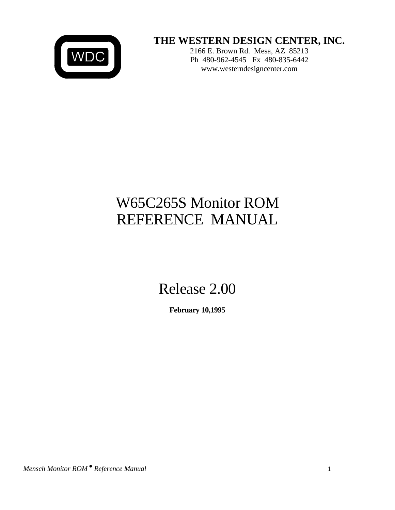

## **THE WESTERN DESIGN CENTER, INC.**

2166 E. Brown Rd. Mesa, AZ 85213 Ph 480-962-4545 Fx 480-835-6442 www.westerndesigncenter.com

# W65C265S Monitor ROM REFERENCE MANUAL

# Release 2.00

**February 10,1995**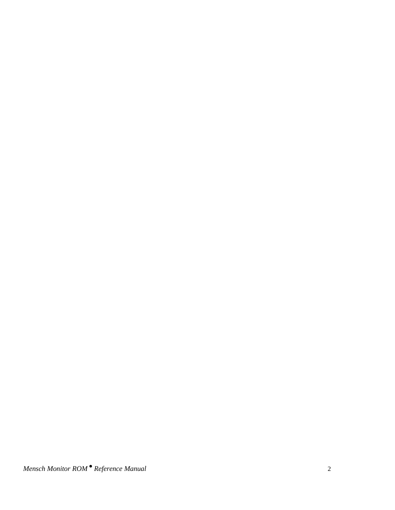*Mensch Monitor ROM* **•** *Reference Manual* 2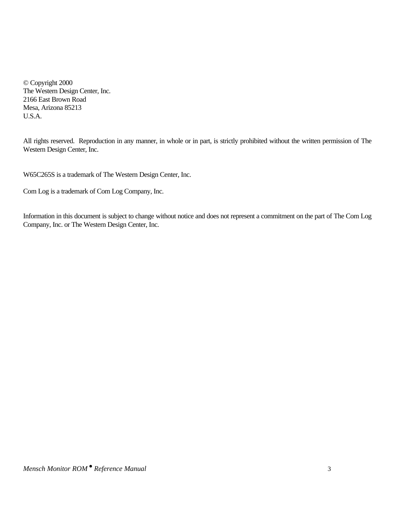© Copyright 2000 The Western Design Center, Inc. 2166 East Brown Road Mesa, Arizona 85213 U.S.A.

All rights reserved. Reproduction in any manner, in whole or in part, is strictly prohibited without the written permission of The Western Design Center, Inc.

W65C265S is a trademark of The Western Design Center, Inc.

Com Log is a trademark of Com Log Company, Inc.

Information in this document is subject to change without notice and does not represent a commitment on the part of The Com Log Company, Inc. or The Western Design Center, Inc.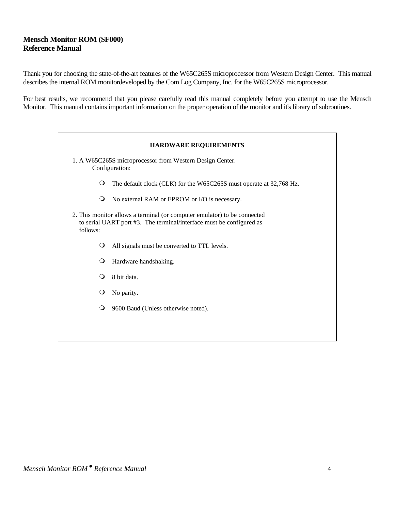## **Mensch Monitor ROM (\$F000) Reference Manual**

Thank you for choosing the state-of-the-art features of the W65C265S microprocessor from Western Design Center. This manual describes the internal ROM monitordeveloped by the Com Log Company, Inc. for the W65C265S microprocessor.

For best results, we recommend that you please carefully read this manual completely before you attempt to use the Mensch Monitor. This manual contains important information on the proper operation of the monitor and it's library of subroutines.

| <b>HARDWARE REQUIREMENTS</b>                                               |                                                                                                                                                  |  |
|----------------------------------------------------------------------------|--------------------------------------------------------------------------------------------------------------------------------------------------|--|
| 1. A W65C265S microprocessor from Western Design Center.<br>Configuration: |                                                                                                                                                  |  |
| $\circ$                                                                    | The default clock (CLK) for the W65C265S must operate at 32,768 Hz.                                                                              |  |
| $\cup$                                                                     | No external RAM or EPROM or I/O is necessary.                                                                                                    |  |
| follows:                                                                   | 2. This monitor allows a terminal (or computer emulator) to be connected<br>to serial UART port #3. The terminal/interface must be configured as |  |
| $\circ$                                                                    | All signals must be converted to TTL levels.                                                                                                     |  |
| $\Omega$                                                                   | Hardware handshaking.                                                                                                                            |  |
| $\Omega$                                                                   | 8 bit data.                                                                                                                                      |  |
|                                                                            | No parity.                                                                                                                                       |  |
| O                                                                          | 9600 Baud (Unless otherwise noted).                                                                                                              |  |
|                                                                            |                                                                                                                                                  |  |
|                                                                            |                                                                                                                                                  |  |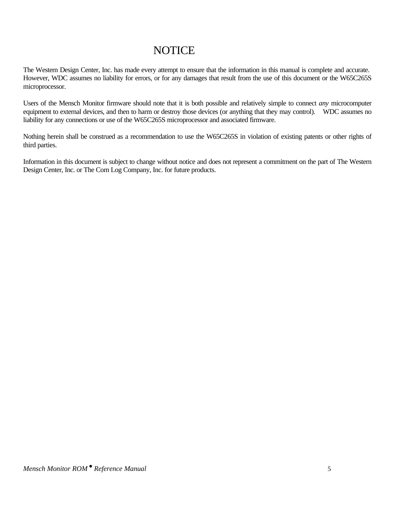## **NOTICE**

The Western Design Center, Inc. has made every attempt to ensure that the information in this manual is complete and accurate. However, WDC assumes no liability for errors, or for any damages that result from the use of this document or the W65C265S microprocessor.

Users of the Mensch Monitor firmware should note that it is both possible and relatively simple to connect *any* microcomputer equipment to external devices, and then to harm or destroy those devices (or anything that they may control). WDC assumes no liability for any connections or use of the W65C265S microprocessor and associated firmware.

Nothing herein shall be construed as a recommendation to use the W65C265S in violation of existing patents or other rights of third parties.

Information in this document is subject to change without notice and does not represent a commitment on the part of The Western Design Center, Inc. or The Com Log Company, Inc. for future products.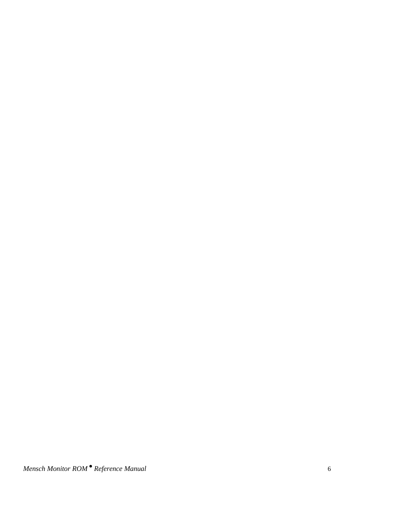*Mensch Monitor ROM* **•** *Reference Manual* 6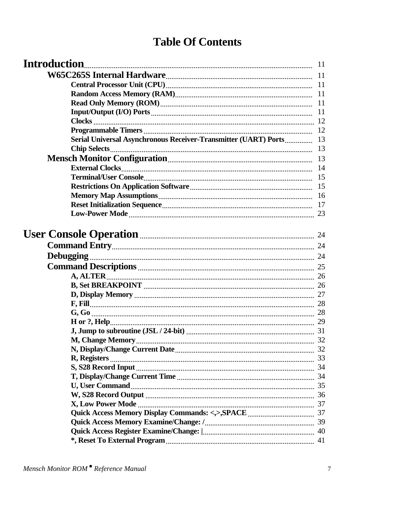## **Table Of Contents**

| <b>Introduction</b>                                                |  |
|--------------------------------------------------------------------|--|
|                                                                    |  |
|                                                                    |  |
|                                                                    |  |
|                                                                    |  |
|                                                                    |  |
|                                                                    |  |
|                                                                    |  |
| Serial Universal Asynchronous Receiver-Transmitter (UART) Ports 13 |  |
|                                                                    |  |
|                                                                    |  |
|                                                                    |  |
|                                                                    |  |
|                                                                    |  |
|                                                                    |  |
|                                                                    |  |
|                                                                    |  |
|                                                                    |  |
|                                                                    |  |
|                                                                    |  |
|                                                                    |  |
|                                                                    |  |
|                                                                    |  |
|                                                                    |  |
|                                                                    |  |
|                                                                    |  |
|                                                                    |  |
|                                                                    |  |
|                                                                    |  |
|                                                                    |  |
|                                                                    |  |
|                                                                    |  |
|                                                                    |  |
|                                                                    |  |
|                                                                    |  |
|                                                                    |  |
|                                                                    |  |
|                                                                    |  |
|                                                                    |  |
|                                                                    |  |
|                                                                    |  |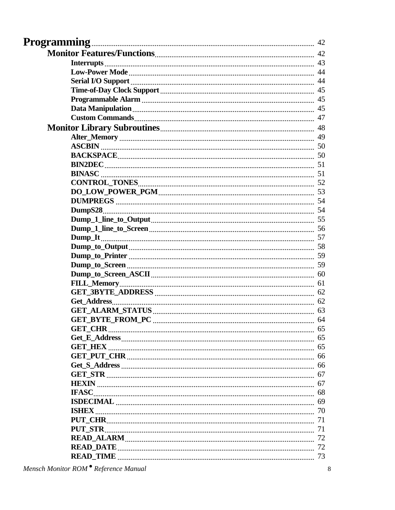|              | 65 |
|--------------|----|
|              |    |
|              | 65 |
|              |    |
|              |    |
|              | 67 |
|              | 67 |
|              |    |
|              |    |
| <b>ISHEX</b> |    |
|              | 71 |
|              | 71 |
|              |    |
|              | 72 |
|              | 73 |
|              |    |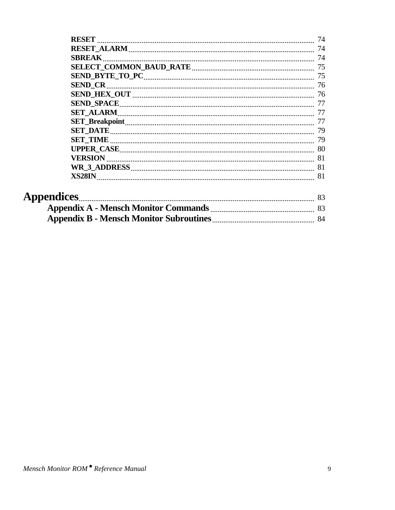| <b>SBREAK</b> |  |
|---------------|--|
|               |  |
|               |  |
|               |  |
|               |  |
|               |  |
|               |  |
|               |  |
|               |  |
|               |  |
|               |  |
|               |  |
|               |  |
|               |  |
|               |  |
|               |  |
|               |  |
|               |  |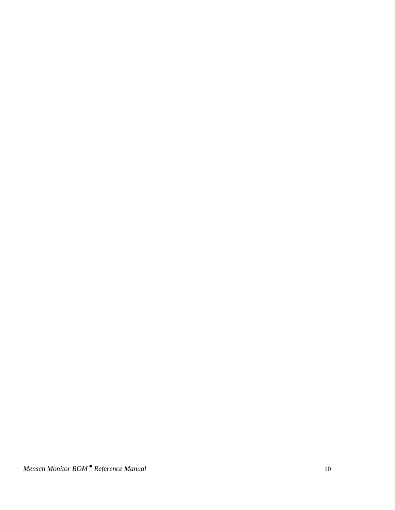*Mensch Monitor ROM* **•** *Reference Manual* 10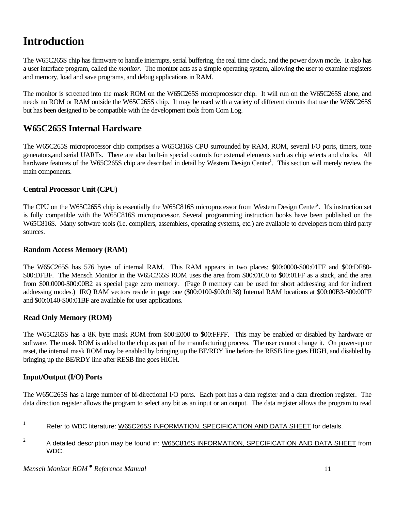## **Introduction**

The W65C265S chip has firmware to handle interrupts, serial buffering, the real time clock, and the power down mode. It also has a user interface program, called the *monitor*. The monitor acts as a simple operating system, allowing the user to examine registers and memory, load and save programs, and debug applications in RAM.

The monitor is screened into the mask ROM on the W65C265S microprocessor chip. It will run on the W65C265S alone, and needs no ROM or RAM outside the W65C265S chip. It may be used with a variety of different circuits that use the W65C265S but has been designed to be compatible with the development tools from Com Log.

## **W65C265S Internal Hardware**

The W65C265S microprocessor chip comprises a W65C816S CPU surrounded by RAM, ROM, several I/O ports, timers, tone generators,and serial UARTs. There are also built-in special controls for external elements such as chip selects and clocks. All hardware features of the W65C265S chip are described in detail by Western Design Center<sup>1</sup>. This section will merely review the main components.

## **Central Processor Unit (CPU)**

The CPU on the W65C265S chip is essentially the W65C816S microprocessor from Western Design Center<sup>2</sup>. It's instruction set is fully compatible with the W65C816S microprocessor. Several programming instruction books have been published on the W65C816S. Many software tools (i.e. compilers, assemblers, operating systems, etc.) are available to developers from third party sources.

## **Random Access Memory (RAM)**

The W65C265S has 576 bytes of internal RAM. This RAM appears in two places: \$00:0000-\$00:01FF and \$00:DF80- \$00:DFBF. The Mensch Monitor in the W65C265S ROM uses the area from \$00:01C0 to \$00:01FF as a stack, and the area from \$00:0000-\$00:00B2 as special page zero memory. (Page 0 memory can be used for short addressing and for indirect addressing modes.) IRQ RAM vectors reside in page one (\$00:0100-\$00:0138) Internal RAM locations at \$00:00B3-\$00:00FF and \$00:0140-\$00:01BF are available for user applications.

## **Read Only Memory (ROM)**

The W65C265S has a 8K byte mask ROM from \$00:E000 to \$00:FFFF. This may be enabled or disabled by hardware or software. The mask ROM is added to the chip as part of the manufacturing process. The user cannot change it. On power-up or reset, the internal mask ROM may be enabled by bringing up the BE/RDY line before the RESB line goes HIGH, and disabled by bringing up the BE/RDY line after RESB line goes HIGH.

## **Input/Output (I/O) Ports**

The W65C265S has a large number of bi-directional I/O ports. Each port has a data register and a data direction register. The data direction register allows the program to select any bit as an input or an output. The data register allows the program to read

 $\frac{1}{1}$ Refer to WDC literature: W65C265S INFORMATION, SPECIFICATION AND DATA SHEET for details.

<sup>2</sup> A detailed description may be found in: W65C816S INFORMATION, SPECIFICATION AND DATA SHEET from WDC.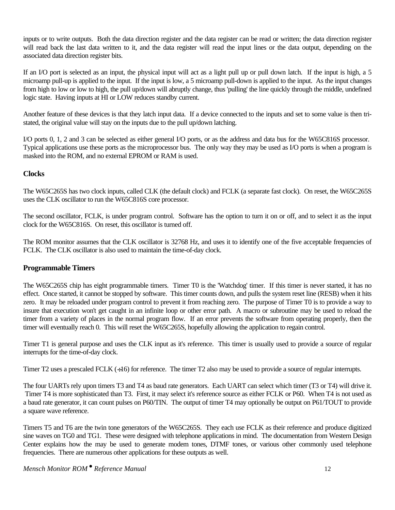inputs or to write outputs. Both the data direction register and the data register can be read or written; the data direction register will read back the last data written to it, and the data register will read the input lines or the data output, depending on the associated data direction register bits.

If an I/O port is selected as an input, the physical input will act as a light pull up or pull down latch. If the input is high, a 5 microamp pull-up is applied to the input. If the input is low, a 5 microamp pull-down is applied to the input. As the input changes from high to low or low to high, the pull up/down will abruptly change, thus 'pulling' the line quickly through the middle, undefined logic state. Having inputs at HI or LOW reduces standby current.

Another feature of these devices is that they latch input data. If a device connected to the inputs and set to some value is then tristated, the original value will stay on the inputs due to the pull up/down latching.

I/O ports 0, 1, 2 and 3 can be selected as either general I/O ports, or as the address and data bus for the W65C816S processor. Typical applications use these ports as the microprocessor bus. The only way they may be used as I/O ports is when a program is masked into the ROM, and no external EPROM or RAM is used.

## **Clocks**

The W65C265S has two clock inputs, called CLK (the default clock) and FCLK (a separate fast clock). On reset, the W65C265S uses the CLK oscillator to run the W65C816S core processor.

The second oscillator, FCLK, is under program control. Software has the option to turn it on or off, and to select it as the input clock for the W65C816S. On reset, this oscillator is turned off.

The ROM monitor assumes that the CLK oscillator is 32768 Hz, and uses it to identify one of the five acceptable frequencies of FCLK. The CLK oscillator is also used to maintain the time-of-day clock.

## **Programmable Timers**

The W65C265S chip has eight programmable timers. Timer T0 is the 'Watchdog' timer. If this timer is never started, it has no effect. Once started, it cannot be stopped by software. This timer counts down, and pulls the system reset line (RESB) when it hits zero. It may be reloaded under program control to prevent it from reaching zero. The purpose of Timer T0 is to provide a way to insure that execution won't get caught in an infinite loop or other error path. A macro or subroutine may be used to reload the timer from a variety of places in the normal program flow. If an error prevents the software from operating properly, then the timer will eventually reach 0. This will reset the W65C265S, hopefully allowing the application to regain control.

Timer T1 is general purpose and uses the CLK input as it's reference. This timer is usually used to provide a source of regular interrupts for the time-of-day clock.

Timer T2 uses a prescaled FCLK (÷16) for reference. The timer T2 also may be used to provide a source of regular interrupts.

The four UARTs rely upon timers T3 and T4 as baud rate generators. Each UART can select which timer (T3 or T4) will drive it. Timer T4 is more sophisticated than T3. First, it may select it's reference source as either FCLK or P60. When T4 is not used as a baud rate generator, it can count pulses on P60/TIN. The output of timer T4 may optionally be output on P61/TOUT to provide a square wave reference.

Timers T5 and T6 are the twin tone generators of the W65C265S. They each use FCLK as their reference and produce digitized sine waves on TG0 and TG1. These were designed with telephone applications in mind. The documentation from Western Design Center explains how the may be used to generate modem tones, DTMF tones, or various other commonly used telephone frequencies. There are numerous other applications for these outputs as well.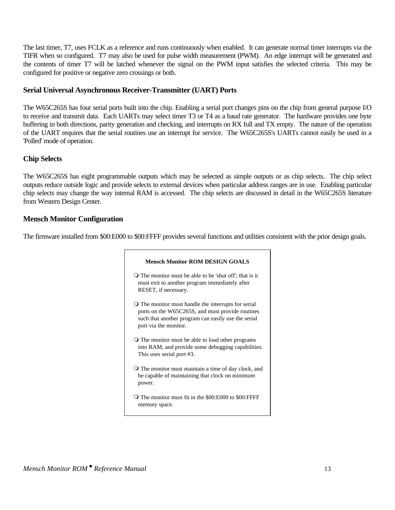The last timer, T7, uses FCLK as a reference and runs continuously when enabled. It can generate normal timer interrupts via the TIFR when so configured. T7 may also be used for pulse width measurement (PWM). An edge interrupt will be generated and the contents of timer T7 will be latched whenever the signal on the PWM input satisfies the selected criteria. This may be configured for positive or negative zero crossings or both.

## **Serial Universal Asynchronous Receiver-Transmitter (UART) Ports**

The W65C265S has four serial ports built into the chip. Enabling a serial port changes pins on the chip from general purpose I/O to receive and transmit data. Each UARTs may select timer T3 or T4 as a baud rate generator. The hardware provides one byte buffering in both directions, parity generation and checking, and interrupts on RX full and TX empty. The nature of the operation of the UART requires that the serial routines use an interrupt for service. The W65C265S's UARTs cannot easily be used in a 'Polled' mode of operation.

## **Chip Selects**

The W65C265S has eight programmable outputs which may be selected as simple outputs or as chip selects. The chip select outputs reduce outside logic and provide selects to external devices when particular address ranges are in use. Enabling particular chip selects may change the way internal RAM is accessed. The chip selects are discussed in detail in the W65C265S literature from Western Design Center.

## **Mensch Monitor Configuration**

The firmware installed from \$00:E000 to \$00:FFFF provides several functions and utilities consistent with the prior design goals.

| <b>Mensch Monitor ROM DESIGN GOALS</b>                                                                                                                                                         |
|------------------------------------------------------------------------------------------------------------------------------------------------------------------------------------------------|
| <b>O</b> The monitor must be able to be 'shut off'; that is it<br>must exit to another program immediately after<br>RESET, if necessary.                                                       |
| <b>O</b> The monitor must handle the interrupts for serial<br>ports on the W65C265S, and must provide routines<br>such that another program can easily use the serial<br>port via the monitor. |
| <b>O</b> The monitor must be able to load other programs<br>into RAM, and provide some debugging capabilities.<br>This uses serial port #3.                                                    |
| <b>O</b> The monitor must maintain a time of day clock, and<br>be capable of maintaining that clock on minimum<br>power.                                                                       |
| $\bigcirc$ The monitor must fit in the \$00:E000 to \$00:FFFF<br>memory space.                                                                                                                 |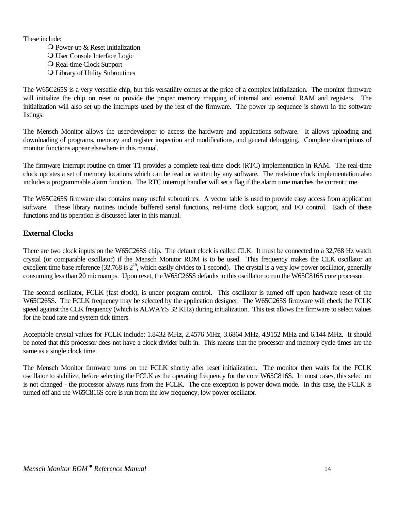These include:

- $\bigcirc$  Power-up & Reset Initialization
- O User Console Interface Logic
- O Real-time Clock Support
- **Q** Library of Utility Subroutines

The W65C265S is a very versatile chip, but this versatility comes at the price of a complex initialization. The monitor firmware will initialize the chip on reset to provide the proper memory mapping of internal and external RAM and registers. The initialization will also set up the interrupts used by the rest of the firmware. The power up sequence is shown in the software listings.

The Mensch Monitor allows the user/developer to access the hardware and applications software. It allows uploading and downloading of programs, memory and register inspection and modifications, and general debugging. Complete descriptions of monitor functions appear elsewhere in this manual.

The firmware interrupt routine on timer T1 provides a complete real-time clock (RTC) implementation in RAM. The real-time clock updates a set of memory locations which can be read or written by any software. The real-time clock implementation also includes a programmable alarm function. The RTC interrupt handler will set a flag if the alarm time matches the current time.

The W65C265S firmware also contains many useful subroutines. A vector table is used to provide easy access from application software. These library routines include buffered serial functions, real-time clock support, and I/O control. Each of these functions and its operation is discussed later in this manual.

## **External Clocks**

There are two clock inputs on the W65C265S chip. The default clock is called CLK. It must be connected to a 32,768 Hz watch crystal (or comparable oscillator) if the Mensch Monitor ROM is to be used. This frequency makes the CLK oscillator an excellent time base reference  $(32,768 \text{ is } 2^{15}$ , which easily divides to 1 second). The crystal is a very low power oscillator, generally consuming less than 20 microamps. Upon reset, the W65C265S defaults to this oscillator to run the W65C816S core processor.

The second oscillator, FCLK (fast clock), is under program control. This oscillator is turned off upon hardware reset of the W65C265S. The FCLK frequency may be selected by the application designer. The W65C265S firmware will check the FCLK speed against the CLK frequency (which is ALWAYS 32 KHz) during initialization. This test allows the firmware to select values for the baud rate and system tick timers.

Acceptable crystal values for FCLK include: 1.8432 MHz, 2.4576 MHz, 3.6864 MHz, 4.9152 MHz and 6.144 MHz. It should be noted that this processor does not have a clock divider built in. This means that the processor and memory cycle times are the same as a single clock time.

The Mensch Monitor firmware turns on the FCLK shortly after reset initialization. The monitor then waits for the FCLK oscillator to stabilize, before selecting the FCLK as the operating frequency for the core W65C816S. In most cases, this selection is not changed - the processor always runs from the FCLK. The one exception is power down mode. In this case, the FCLK is turned off and the W65C816S core is run from the low frequency, low power oscillator.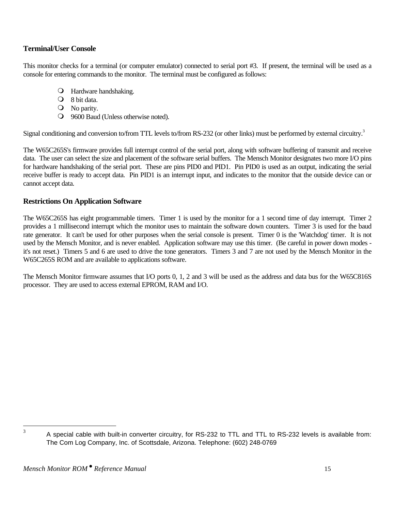## **Terminal/User Console**

This monitor checks for a terminal (or computer emulator) connected to serial port #3. If present, the terminal will be used as a console for entering commands to the monitor. The terminal must be configured as follows:

- **Q** Hardware handshaking.
- $\bigcirc$  8 bit data.
- **O** No parity.
- **Q** 9600 Baud (Unless otherwise noted).

Signal conditioning and conversion to/from TTL levels to/from RS-232 (or other links) must be performed by external circuitry.<sup>3</sup>

The W65C265S's firmware provides full interrupt control of the serial port, along with software buffering of transmit and receive data. The user can select the size and placement of the software serial buffers. The Mensch Monitor designates two more I/O pins for hardware handshaking of the serial port. These are pins PID0 and PID1. Pin PID0 is used as an output, indicating the serial receive buffer is ready to accept data. Pin PID1 is an interrupt input, and indicates to the monitor that the outside device can or cannot accept data.

## **Restrictions On Application Software**

The W65C265S has eight programmable timers. Timer 1 is used by the monitor for a 1 second time of day interrupt. Timer 2 provides a 1 millisecond interrupt which the monitor uses to maintain the software down counters. Timer 3 is used for the baud rate generator. It can't be used for other purposes when the serial console is present. Timer 0 is the 'Watchdog' timer. It is not used by the Mensch Monitor, and is never enabled. Application software may use this timer. (Be careful in power down modes it's not reset.) Timers 5 and 6 are used to drive the tone generators. Timers 3 and 7 are not used by the Mensch Monitor in the W65C265S ROM and are available to applications software.

The Mensch Monitor firmware assumes that I/O ports 0, 1, 2 and 3 will be used as the address and data bus for the W65C816S processor. They are used to access external EPROM, RAM and I/O.

<sup>&</sup>lt;sup>-</sup><br>3 A special cable with built-in converter circuitry, for RS-232 to TTL and TTL to RS-232 levels is available from: The Com Log Company, Inc. of Scottsdale, Arizona. Telephone: (602) 248-0769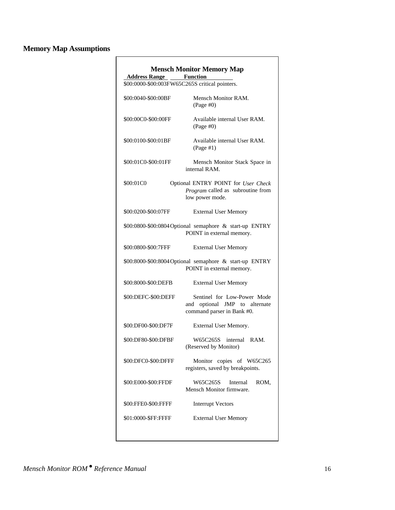## **Memory Map Assumptions**

| <b>Address Range Function</b> |                                                                                             |
|-------------------------------|---------------------------------------------------------------------------------------------|
|                               | \$00:0000-\$00:003FW65C265S critical pointers.                                              |
| \$00:0040-\$00:00BF           | Mensch Monitor RAM.<br>(Page #0)                                                            |
| \$00:00C0-\$00:00FF           | Available internal User RAM.<br>(Page #0)                                                   |
| \$00:0100-\$00:01BF           | Available internal User RAM.<br>(Page #1)                                                   |
| \$00:01C0-\$00:01FF           | Mensch Monitor Stack Space in<br>internal RAM.                                              |
| \$00:01C0                     | Optional ENTRY POINT for User Check<br>Program called as subroutine from<br>low power mode. |
| \$00:0200-\$00:07FF           | <b>External User Memory</b>                                                                 |
|                               | \$00:0800-\$00:0804 Optional semaphore & start-up ENTRY<br>POINT in external memory.        |
| \$00:0800-\$00:7FFF           | <b>External User Memory</b>                                                                 |
|                               | \$00:8000-\$00:8004 Optional semaphore & start-up ENTRY<br>POINT in external memory.        |
| \$00:8000-\$00:DEFB           | <b>External User Memory</b>                                                                 |
| \$00:DEFC-\$00:DEFF           | Sentinel for Low-Power Mode<br>and optional JMP to alternate<br>command parser in Bank #0.  |
| \$00:DF00-\$00:DF7F           | External User Memory.                                                                       |
| \$00:DF80-\$00:DFBF           | W65C265S<br>RAM.<br>internal<br>(Reserved by Monitor)                                       |
| \$00:DFC0-\$00:DFFF           | Monitor copies of W65C265<br>registers, saved by breakpoints.                               |
| \$00:E000-\$00:FFDF           | W65C265S<br>ROM,<br>Internal<br>Mensch Monitor firmware.                                    |
| \$00:FFE0-\$00:FFFF           | <b>Interrupt Vectors</b>                                                                    |
| \$01:0000-\$FF:FFFF           | <b>External User Memory</b>                                                                 |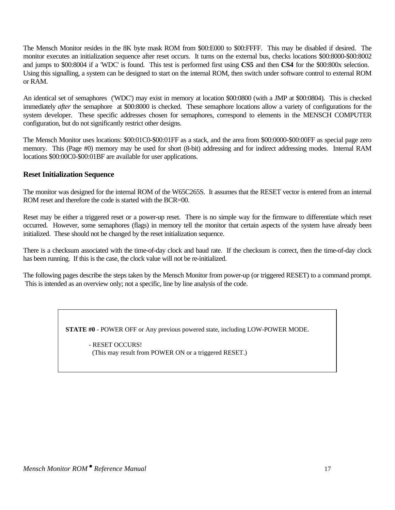The Mensch Monitor resides in the 8K byte mask ROM from \$00:E000 to \$00:FFFF. This may be disabled if desired. The monitor executes an initialization sequence after reset occurs. It turns on the external bus, checks locations \$00:8000-\$00:8002 and jumps to \$00:8004 if a 'WDC' is found. This test is performed first using **CS5** and then **CS4** for the \$00:800x selection. Using this signalling, a system can be designed to start on the internal ROM, then switch under software control to external ROM or RAM.

An identical set of semaphores ('WDC') may exist in memory at location \$00:0800 (with a JMP at \$00:0804). This is checked immediately *after* the semaphore at \$00:8000 is checked. These semaphore locations allow a variety of configurations for the system developer. These specific addresses chosen for semaphores, correspond to elements in the MENSCH COMPUTER configuration, but do not significantly restrict other designs.

The Mensch Monitor uses locations: \$00:01C0-\$00:01FF as a stack, and the area from \$00:0000-\$00:00FF as special page zero memory. This (Page #0) memory may be used for short (8-bit) addressing and for indirect addressing modes. Internal RAM locations \$00:00C0-\$00:01BF are available for user applications.

## **Reset Initialization Sequence**

The monitor was designed for the internal ROM of the W65C265S. It assumes that the RESET vector is entered from an internal ROM reset and therefore the code is started with the BCR=00.

Reset may be either a triggered reset or a power-up reset. There is no simple way for the firmware to differentiate which reset occurred. However, some semaphores (flags) in memory tell the monitor that certain aspects of the system have already been initialized. These should not be changed by the reset initialization sequence.

There is a checksum associated with the time-of-day clock and baud rate. If the checksum is correct, then the time-of-day clock has been running. If this is the case, the clock value will not be re-initialized.

The following pages describe the steps taken by the Mensch Monitor from power-up (or triggered RESET) to a command prompt. This is intended as an overview only; not a specific, line by line analysis of the code.

**STATE #0** - POWER OFF or Any previous powered state, including LOW-POWER MODE.

- RESET OCCURS! (This may result from POWER ON or a triggered RESET.)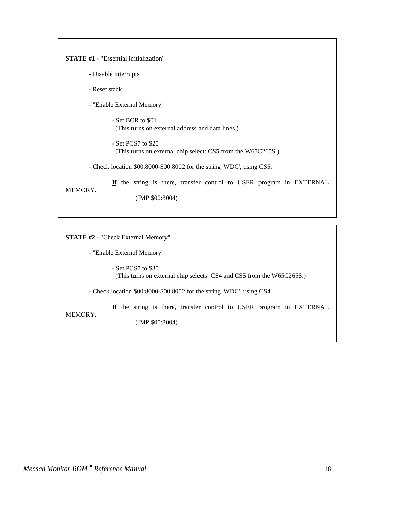**STATE #1** - "Essential initialization"

- Disable interrupts

- Reset stack

- "Enable External Memory"

- Set BCR to \$01 (This turns on external address and data lines.)

- Set PCS7 to \$20 (This turns on external chip select: CS5 from the W65C265S.)

- Check location \$00:8000-\$00:8002 for the string 'WDC', using CS5.

**If** the string is there, transfer control to USER program in EXTERNAL MEMORY. (JMP \$00:8004)

**STATE #2** - "Check External Memory" - "Enable External Memory" - Set PCS7 to \$30 (This turns on external chip selects: CS4 and CS5 from the W65C265S.) - Check location \$00:8000-\$00:8002 for the string 'WDC', using CS4. **If** the string is there, transfer control to USER program in EXTERNAL MEMORY. (JMP \$00:8004)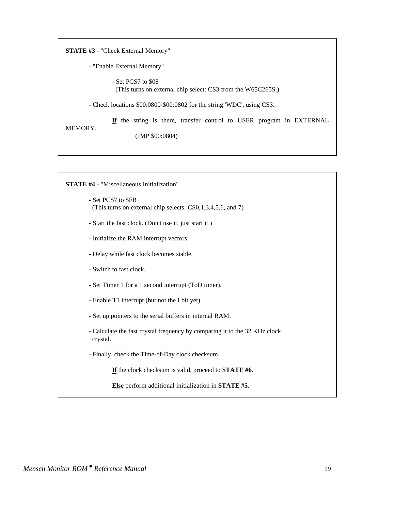**STATE #3** - "Check External Memory"

- "Enable External Memory"

- Set PCS7 to \$08 (This turns on external chip select: CS3 from the W65C265S.)

- Check locations \$00:0800-\$00:0802 for the string 'WDC', using CS3.

**If** the string is there, transfer control to USER program in EXTERNAL MEMORY. (JMP \$00:0804)

| <b>STATE #4 - "Miscellaneous Initialization"</b>                                       |
|----------------------------------------------------------------------------------------|
| - Set PCS7 to \$FB<br>(This turns on external chip selects: $CS0,1,3,4,5,6$ , and 7)   |
| - Start the fast clock. (Don't use it, just start it.)                                 |
| - Initialize the RAM interrupt vectors.                                                |
| - Delay while fast clock becomes stable.                                               |
| - Switch to fast clock.                                                                |
| - Set Timer 1 for a 1 second interrupt (ToD timer).                                    |
| - Enable T1 interrupt (but not the I bit yet).                                         |
| - Set up pointers to the serial buffers in internal RAM.                               |
| - Calculate the fast crystal frequency by comparing it to the 32 KHz clock<br>crystal. |
| - Finally, check the Time-of-Day clock checksum.                                       |
| If the clock checksum is valid, proceed to STATE #6.                                   |
| Else perform additional initialization in STATE #5.                                    |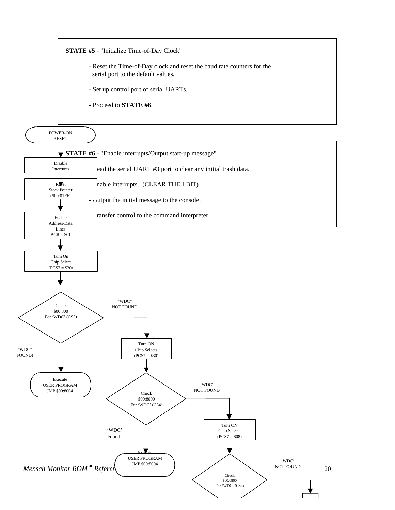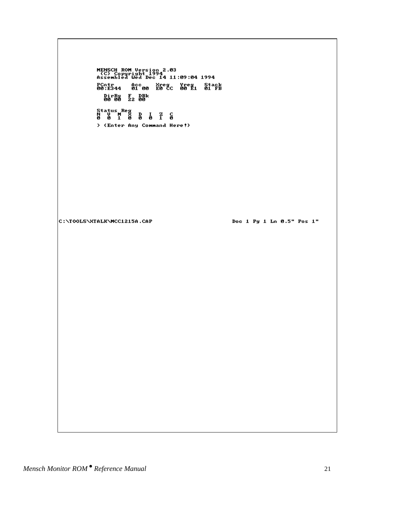MENSCH ROM Version 2.03<br>(C) Copyright 1994<br>Assembled Wed Dec 14 11:09:04 1994 PCntr Acc Xreg Vreg Stack<br>00:E344 01 00 E0 CC 00 E1 01 FB DirRg F DBk<br>00 00 22 00 Status Reg<br>N U M X D I Z C<br>0 0 1 0 0 0 1 0 > (Enter Any Command Here!) C:\TOOLS\XTALK\MCC1215A.CAP Doc 1 Pg 1 Ln 0.5" Pos 1"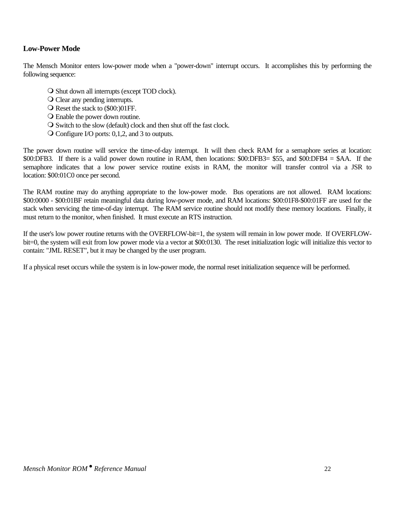## **Low-Power Mode**

The Mensch Monitor enters low-power mode when a "power-down" interrupt occurs. It accomplishes this by performing the following sequence:

- O Shut down all interrupts (except TOD clock).
- O Clear any pending interrupts.
- $\bigcirc$  Reset the stack to (\$00:)01FF.
- **O** Enable the power down routine.
- $\bigcirc$  Switch to the slow (default) clock and then shut off the fast clock.
- $\overline{O}$  Configure I/O ports: 0,1,2, and 3 to outputs.

The power down routine will service the time-of-day interrupt. It will then check RAM for a semaphore series at location: \$00:DFB3. If there is a valid power down routine in RAM, then locations: \$00:DFB3= \$55, and \$00:DFB4 = \$AA. If the semaphore indicates that a low power service routine exists in RAM, the monitor will transfer control via a JSR to location: \$00:01C0 once per second.

The RAM routine may do anything appropriate to the low-power mode. Bus operations are not allowed. RAM locations: \$00:0000 - \$00:01BF retain meaningful data during low-power mode, and RAM locations: \$00:01F8-\$00:01FF are used for the stack when servicing the time-of-day interrupt. The RAM service routine should not modify these memory locations. Finally, it must return to the monitor, when finished. It must execute an RTS instruction.

If the user's low power routine returns with the OVERFLOW-bit=1, the system will remain in low power mode. If OVERFLOWbit=0, the system will exit from low power mode via a vector at \$00:0130. The reset initialization logic will initialize this vector to contain: "JML RESET", but it may be changed by the user program.

If a physical reset occurs while the system is in low-power mode, the normal reset initialization sequence will be performed.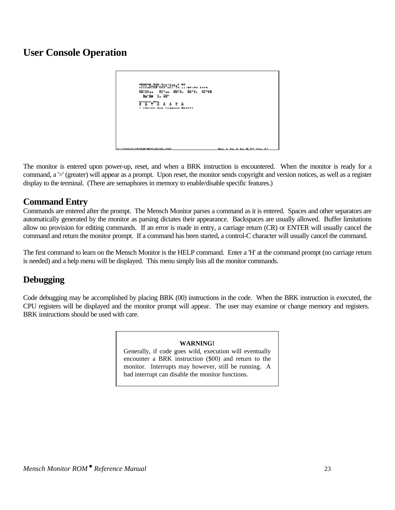## **User Console Operation**



The monitor is entered upon power-up, reset, and when a BRK instruction is encountered. When the monitor is ready for a command, a '>' (greater) will appear as a prompt. Upon reset, the monitor sends copyright and version notices, as well as a register display to the terminal. (There are semaphores in memory to enable/disable specific features.)

## **Command Entry**

Commands are entered after the prompt. The Mensch Monitor parses a command as it is entered. Spaces and other separators are automatically generated by the monitor as parsing dictates their appearance. Backspaces are usually allowed. Buffer limitations allow no provision for editing commands. If an error is made in entry, a carriage return (CR) or ENTER will usually cancel the command and return the monitor prompt. If a command has been started, a control-C character will usually cancel the command.

The first command to learn on the Mensch Monitor is the HELP command. Enter a 'H' at the command prompt (no carriage return is needed) and a help menu will be displayed. This menu simply lists all the monitor commands.

## **Debugging**

Code debugging may be accomplished by placing BRK (00) instructions in the code. When the BRK instruction is executed, the CPU registers will be displayed and the monitor prompt will appear. The user may examine or change memory and registers. BRK instructions should be used with care.

#### **WARNING!**

Generally, if code goes wild, execution will eventually encounter a BRK instruction (\$00) and return to the monitor. Interrupts may however, still be running. A bad interrupt can disable the monitor functions.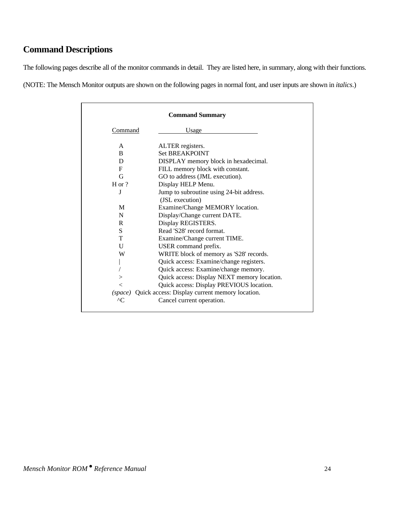## **Command Descriptions**

The following pages describe all of the monitor commands in detail. They are listed here, in summary, along with their functions.

(NOTE: The Mensch Monitor outputs are shown on the following pages in normal font, and user inputs are shown in *italics*.)

| <b>Command Summary</b> |                                                        |  |
|------------------------|--------------------------------------------------------|--|
| Command                | Usage                                                  |  |
| A                      | ALTER registers.                                       |  |
| <sub>B</sub>           | <b>Set BREAKPOINT</b>                                  |  |
| D                      | DISPLAY memory block in hexadecimal.                   |  |
| F                      | FILL memory block with constant.                       |  |
| G                      | GO to address (JML execution).                         |  |
| $H$ or ?               | Display HELP Menu.                                     |  |
| J                      | Jump to subroutine using 24-bit address.               |  |
|                        | (JSL execution)                                        |  |
| M                      | Examine/Change MEMORY location.                        |  |
| N                      | Display/Change current DATE.                           |  |
| R                      | Display REGISTERS.                                     |  |
| S                      | Read 'S28' record format.                              |  |
| T                      | Examine/Change current TIME.                           |  |
| U                      | USER command prefix.                                   |  |
| W                      | WRITE block of memory as 'S28' records.                |  |
|                        | Quick access: Examine/change registers.                |  |
|                        | Quick access: Examine/change memory.                   |  |
| >                      | Quick access: Display NEXT memory location.            |  |
| $\lt$                  | Quick access: Display PREVIOUS location.               |  |
|                        | (space) Quick access: Display current memory location. |  |
| $^{\wedge}$ C          | Cancel current operation.                              |  |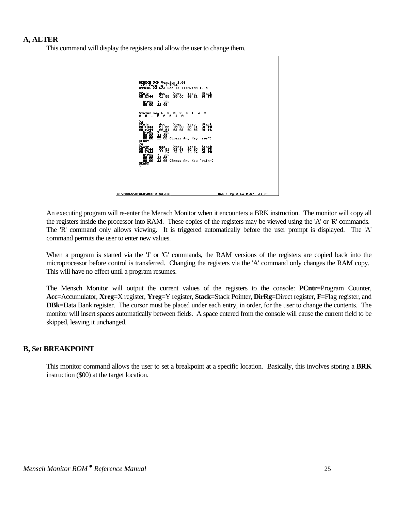## **A, ALTER**

This command will display the registers and allow the user to change them.

MENSCH ROM Version 2.03<br>(C) Copyright 1994<br>Assembled Wed Dec 14 11:09:04 1994 PCntr Acc Xreg Yreg Stack<br>00:E344 01 00 E0 CC 00 E1 01 FB DirBg F DBk<br>00 00 22 00 Status Reg  $N_q$   $N_q$   $N_q$   $D$   $I$   $Z$   $C$ Acc Xreg Yreg Stack<br>01 00 E0CC 00 E1 01 FB<br>00 01 02 03 04 05 01 fb 22 00<br>22 00 (Press Any Key Here!) Acco Xreg Yreg Stack<br>of all 0203 04 05 01 FB<br>ff fe fd fc fb fa 01 FB<br>22 00<br>22 00 (Press Any Key Again!)  $|c:\y$ TOOLS\XTALK\MCC1215A.CAP Doc 1 Pg 2 Ln 0.5" Pos 2"

An executing program will re-enter the Mensch Monitor when it encounters a BRK instruction. The monitor will copy all the registers inside the processor into RAM. These copies of the registers may be viewed using the 'A' or 'R' commands. The 'R' command only allows viewing. It is triggered automatically before the user prompt is displayed. The 'A' command permits the user to enter new values.

When a program is started via the 'J' or 'G' commands, the RAM versions of the registers are copied back into the microprocessor before control is transferred. Changing the registers via the 'A' command only changes the RAM copy. This will have no effect until a program resumes.

The Mensch Monitor will output the current values of the registers to the console: **PCntr**=Program Counter, **Acc**=Accumulator, **Xreg**=X register, **Yreg**=Y register, **Stack**=Stack Pointer, **DirRg**=Direct register, **F**=Flag register, and **DBk**=Data Bank register. The cursor must be placed under each entry, in order, for the user to change the contents. The monitor will insert spaces automatically between fields. A space entered from the console will cause the current field to be skipped, leaving it unchanged.

## **B, Set BREAKPOINT**

This monitor command allows the user to set a breakpoint at a specific location. Basically, this involves storing a **BRK** instruction (\$00) at the target location.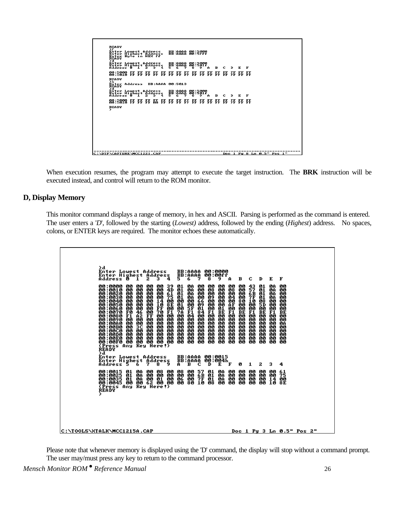```
READY
       )F<br>Enter Lowest Address – BB:AAAA 00:5000<br>Enter Highest Address – BB:AAAA 00:5fff<br>READY<br>READY
       Enter Lowest Address - BB:AAAA 00:5000<br>Enter Highest Address - BB:AAAA 00:501f<br>Address - Address - BB:AAAA 00:501f
                                                      BCDEF
       READY
       KENDY<br>Enter Address - BB:AAAA 00:5013<br>READY
       >d<br>Enter Lowest Address - BB:AAAA 00:5000<br>Address 0 - 1 2 3 4 5 6AAA 00:501 A B C D<br>Address 0 - 1 2 3 4 5 6AAA 00:501 A B C D
       READY
```
When execution resumes, the program may attempt to execute the target instruction. The **BRK** instruction will be executed instead, and control will return to the ROM monitor.

## **D, Display Memory**

This monitor command displays a range of memory, in hex and ASCII. Parsing is performed as the command is entered. The user enters a '*D*', followed by the starting (*Lowest)* address, followed by the ending (*Highest*) address. No spaces, colons, or ENTER keys are required. The monitor echoes these automatically.

| 43<br>00:0000<br>90<br>00<br>33<br>88<br>90<br>01<br>88<br>88<br>81<br>ØA<br>00<br>90<br>00<br>ØA<br>00<br>ŌŌ<br>ŌÄ<br>ŌŌ<br>Ō8<br>ŌŌ<br>57<br>Ōī<br>ŌŌ<br>ŌŌ<br>00:0010<br>ØA<br>00<br>889894488888<br>889894488998<br><b>88885FS9888</b><br>68888FS9988<br><b>16750E61</b><br>00<br>00<br>66<br><b>1999999</b><br><b>999985099999</b><br>199998599<br>00:0020<br>00<br>00<br>14<br>88<br>82<br>ØØ<br>61)<br>710<br>10<br>ØØ<br>ğī<br>01<br>8Â<br>0A<br>ØØ<br>ØA<br>ŌŌ<br>)<br>2000<br>2000<br>2000<br>00:0030<br>00<br>ØA<br>ŌŌ<br><b>0000HH000</b><br>000FH0000<br><b>00:0040</b><br>ŌŌ<br>ŌŌ<br>ğğ<br>AF<br>ŌŌ<br>00<br>$\frac{1}{2}$ $\frac{1}{2}$ $\frac{1}{2}$ $\frac{1}{2}$ $\frac{1}{2}$ $\frac{1}{2}$ $\frac{1}{2}$ $\frac{1}{2}$ $\frac{1}{2}$ $\frac{1}{2}$ $\frac{1}{2}$ $\frac{1}{2}$ $\frac{1}{2}$ $\frac{1}{2}$ $\frac{1}{2}$ $\frac{1}{2}$ $\frac{1}{2}$ $\frac{1}{2}$ $\frac{1}{2}$ $\frac{1}{2}$ $\frac{1}{2}$ $\frac{1}{2}$<br><b>00:0050</b><br>ŌŌ<br>09<br>0914<br>000<br>00<br>ğğ<br>01<br>ğī,<br>88<br>88<br>ŌŌ.<br>ØØ<br><b>00:0060</b><br>ŌŌ<br>ÖÕ<br>ŌŌ<br>ŌŌ<br>00:0070<br>FØ<br><b>DOODS</b><br>DOODS<br>DOODS<br>囍<br>FI<br>00<br>FĬ<br>00<br>7Ă<br>00<br>00<br>Fī<br>ВĒ<br>00 : 0090<br>00 : 0090<br>FĬ<br>00<br>ĝĝ<br>00<br>ŌÕ<br>ŌØ<br>ŏй<br>ŏй<br>ŏŏ<br>ŌŌ<br>ØØ<br>ğğ<br>00<br>ğğ<br>00:00A0<br>ğğ<br>00<br>ğğ<br>00<br>ğğ<br>00<br>ğğ<br>ēē<br>88<br>ğğ<br>ØØ<br>ØĀ<br>00 : 00B0<br>ŌŌ<br>ŌŌ<br>ØØ<br>ag ag<br>ag ag<br>ga ag<br>ğğ<br>ğğ<br>ğğ<br>00<br>ğğ<br>00<br>ŌŌ<br>ŌŌ<br>ŌŌ<br>ğğ<br>00<br>ŌŌ<br>00 : 00Č0<br>00 : 00D0<br>ØØ<br>88<br>ØØ<br>ŌŎ<br>ăă<br>ŏŏ<br>ăă<br>ōā āā<br>ōō : ōōēō<br>ŌŌ<br>ŌŌ<br>ŌŌ<br>ØØ<br>00<br>00<br>00<br>00<br>ØØ<br>ØØ<br>ØØ<br>00<br>00<br>00<br>00:00F0 00 00 00 00 00<br>00 00 00 00<br>ØØ<br>00 OO<br>00<br>00<br>00<br>00<br>(Press Any Rey Here!)<br>READY<br>Уd<br>00:0015<br>Enter Lowest Address<br>BB:AAAA<br>Enter Highest Address<br>Address 5 6 7d8<br>00:004b<br>BB:AAAA<br>в<br>c<br>з<br>2<br>А<br>D<br>E<br>F<br>ø<br>1<br>4<br>00:0015<br>01<br>00<br>08<br>88<br>90<br>ş7<br>6В<br>01<br>ØA<br>90<br>ØA<br>00<br>00<br>90<br>00<br>00<br>61<br>ŌŌ<br>ŌŌ<br>75<br>00:0025<br>ØÄ<br>ŌŌ<br>ŌŌ<br>ŌŌ<br>ŌŌ<br>ŌŌ<br>ŌŌ<br>ØĨ<br>01<br>ØÄ<br>00<br>00:0035<br>ØA<br>01 00<br>7F<br>ØØ<br>ØØ<br>ØØ<br>01<br>00<br>06<br>00<br>01<br>ØA<br>00<br>14<br>00<br>10<br>80<br>Ō8<br>00:0045 00<br>00<br>62<br><b>00 00</b><br>ØØ<br>øø<br>00<br>00<br>00<br>10<br>00<br>8 E<br><u>(Pres</u> s Any Key Here!)<br>ŔĒĀDY |
|-------------------------------------------------------------------------------------------------------------------------------------------------------------------------------------------------------------------------------------------------------------------------------------------------------------------------------------------------------------------------------------------------------------------------------------------------------------------------------------------------------------------------------------------------------------------------------------------------------------------------------------------------------------------------------------------------------------------------------------------------------------------------------------------------------------------------------------------------------------------------------------------------------------------------------------------------------------------------------------------------------------------------------------------------------------------------------------------------------------------------------------------------------------------------------------------------------------------------------------------------------------------------------------------------------------------------------------------------------------------------------------------------------------------------------------------------------------------------------------------------------------------------------------------------------------------------------------------------------------------------------------------------------------------------------------------------------------------------------------------------------------------------------------------------------------------------------------------------------------------------------------------------------------------------------------------------------------------------------------------------------------------------------------------------------------------------------------------------------------------------------------------------------------------------------------------------------------------------------------------------------------------------------------------------------------------------------------------------------------------------------------------------------------------------------------------------------------------------------------------------------|
|                                                                                                                                                                                                                                                                                                                                                                                                                                                                                                                                                                                                                                                                                                                                                                                                                                                                                                                                                                                                                                                                                                                                                                                                                                                                                                                                                                                                                                                                                                                                                                                                                                                                                                                                                                                                                                                                                                                                                                                                                                                                                                                                                                                                                                                                                                                                                                                                                                                                                                       |
|                                                                                                                                                                                                                                                                                                                                                                                                                                                                                                                                                                                                                                                                                                                                                                                                                                                                                                                                                                                                                                                                                                                                                                                                                                                                                                                                                                                                                                                                                                                                                                                                                                                                                                                                                                                                                                                                                                                                                                                                                                                                                                                                                                                                                                                                                                                                                                                                                                                                                                       |
|                                                                                                                                                                                                                                                                                                                                                                                                                                                                                                                                                                                                                                                                                                                                                                                                                                                                                                                                                                                                                                                                                                                                                                                                                                                                                                                                                                                                                                                                                                                                                                                                                                                                                                                                                                                                                                                                                                                                                                                                                                                                                                                                                                                                                                                                                                                                                                                                                                                                                                       |

Please note that whenever memory is displayed using the 'D' command, the display will stop without a command prompt. The user may/must press any key to return to the command processor.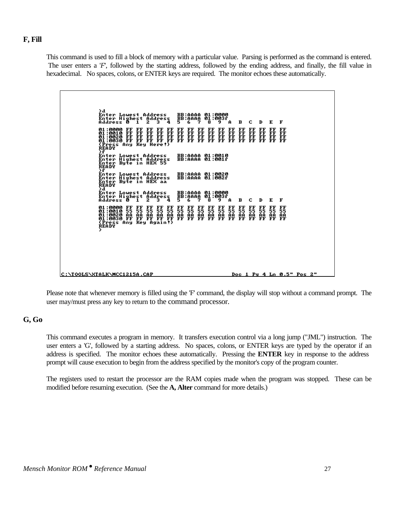## **F, Fill**

This command is used to fill a block of memory with a particular value. Parsing is performed as the command is entered. The user enters a '*F*', followed by the starting address, followed by the ending address, and finally, the fill value in hexadecimal. No spaces, colons, or ENTER keys are required. The monitor echoes these automatically.

 $\substack{BB:\{8009\}\\ B}:\{8009\}\\ \{8009\}\\ \{1009\}\\ \{10099\}\\ \{10099\}\\ \{10099\}\\ \{1009\}\\ \{1009\}\\ \{1009\}\\ \{1009\}\\ \{1009\}\\ \{1009\}\\ \{11009\}\\ \{1000\}\\ \{1000\}\\ \{11000\}\\ \{10000\}\\ \{11000\}\\ \{10000\}\\ \{12000\}\\ \{12000\}\\ \{12000\}\\ \{13000\}\\ \{14000\}\\$ 蕼 ĘĘ BB:AAAA 01:0010<br>BB:AAAA 01:001f Lowes<br>Highe<br>Byte BB:AAAA 01:0020<br>BB:AAAA 01:002f ddress<br>Address<br>2 Lowest<br>Highest<br>ss 0 1 ) FF<br>) 55<br>) FF<br>Any 55<br>AA<br>FF<br>!) 55<br>FF<br>Key ន្ត្រី<br>និងស្រី C:\TOOLS\XTALK\MCC1215A.CAP Doc 1 Pg 4 Ln 0.5" Pos

Please note that whenever memory is filled using the 'F' command, the display will stop without a command prompt. The user may/must press any key to return to the command processor.

## **G, Go**

This command executes a program in memory. It transfers execution control via a long jump ("JML") instruction. The user enters a 'G', followed by a starting address. No spaces, colons, or ENTER keys are typed by the operator if an address is specified. The monitor echoes these automatically. Pressing the **ENTER** key in response to the address prompt will cause execution to begin from the address specified by the monitor's copy of the program counter.

The registers used to restart the processor are the RAM copies made when the program was stopped. These can be modified before resuming execution. (See the **A, Alter** command for more details.)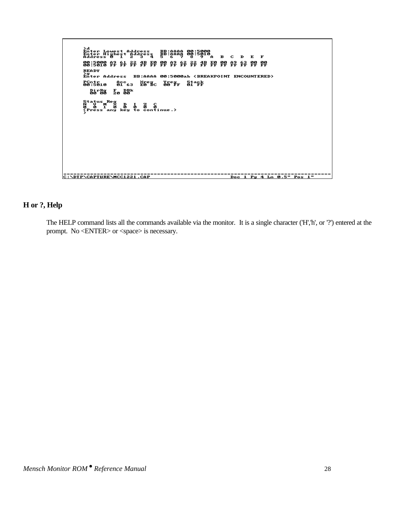)<br>Enter Lowest Address – BB:AAAA 00:5000<br>Address 0 = 1 2 3 4 5 :80AA 08:5910<br>Address 0 = 1 2 3 4 5 :80AA 08:5910 B C  $\mathbf{D}$  $E$  F 80:5000 f? f1 f7 fP fP fP f7 f7 f7 fP fP fP fP f7 f7 fP fP Acc Xreg Yreg Ff Stack<br>01 63 E0 BC 00 FF 01 FF PCntr<br>00:5010  $\begin{array}{cc} \texttt{DirRg} & \texttt{F} & \texttt{DBk} \\ \texttt{OO} & \texttt{OO} & \texttt{2O} & \texttt{OO} \end{array}$ Status Reg<br>N U M X D I Z C<br>0 0 1 0 0 0 0<br>{Press any key to continue.}<br>} C:\DTP\CAPTURE\MCC1221.CAP

#### **H or ?, Help**

The HELP command lists all the commands available via the monitor. It is a single character ('H','h', or '?') entered at the prompt. No <ENTER> or <space> is necessary.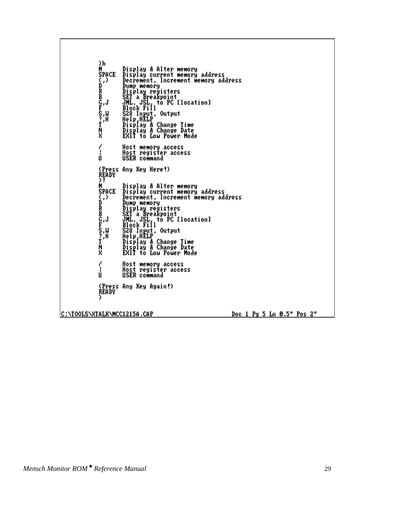メ<br>AHASPECIAL - SPACE<br>エコール・シアラム<br>エコール・シアコール Display & Alter memory<br>Display current memory address<br>Decrement, Increment memory address Decrement, Increment memory<br>Dump memory<br>Display registers<br>SET a Breakpoint<br>JML, JSL, to PC [location]<br>Block Fill<br>S28 Input, Output<br>Help,HELP<br>Display & Change Time<br>Display & Change Time<br>Display & Change Time<br>Display & Chang Host memory access<br>Host register access<br>USER command ú (Press Any Key Here!)<br>READY<br>)?<br>M Display & Alte<br>SPACE Display curren Display & Alter memory<br>Display current memory address<br>Decrement, Increment memory address<br>Dump memory<br>Display registers<br>SET a Breakpoint<br>JML, JSL, to PC [location]<br>Block Fill<br>S28 Input, Output<br>Display & Change Time<br>Display  $\sum_{\substack{D \ R}}^{\infty}$ ม - มี<br>ราง<br>ราง<br>ราง Ñ. Host memory access<br>Host register access<br>USER command ′ Ú (Press Any Key Again!)<br>READY Doc 1 Pg 5 Ln 0.5" Pos 2" |C:\TOOLS\XTALK\MCC1215A.CAP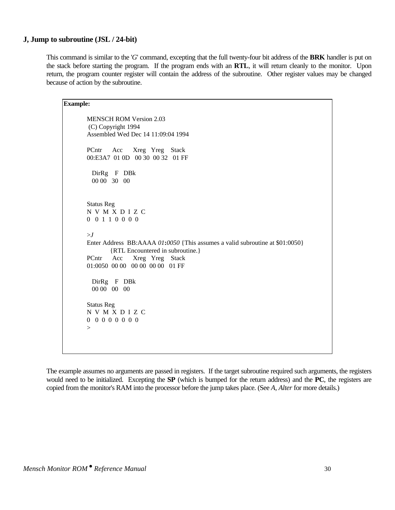### **J, Jump to subroutine (JSL / 24-bit)**

This command is similar to the '*G*' command, excepting that the full twenty-four bit address of the **BRK** handler is put on the stack before starting the program. If the program ends with an **RTL**, it will return cleanly to the monitor. Upon return, the program counter register will contain the address of the subroutine. Other register values may be changed because of action by the subroutine.

```
Example:
       MENSCH ROM Version 2.03
        (C) Copyright 1994
       Assembled Wed Dec 14 11:09:04 1994
       PCntr Acc Xreg Yreg Stack
       00:E3A7 01 0D 00 30 00 32 01 FF
         DirRg F DBk
         00 00 30 00
       Status Reg
       N V M X D I Z C
       0 0 1 1 0 0 0 0
       >J
       Enter Address BB:AAAA 01:0050 {This assumes a valid subroutine at $01:0050}
              {RTL Encountered in subroutine.}
       PCntr Acc Xreg Yreg Stack
       01:0050 00 00 00 00 00 00 01 FF
         DirRg F DBk
         00 00 00 00
       Status Reg
       N V M X D I Z C
       0 0 0 0 0 0 0 0
       >
```
The example assumes no arguments are passed in registers. If the target subroutine required such arguments, the registers would need to be initialized. Excepting the **SP** (which is bumped for the return address) and the **PC**, the registers are copied from the monitor's RAM into the processor before the jump takes place. (See *A, Alter* for more details.)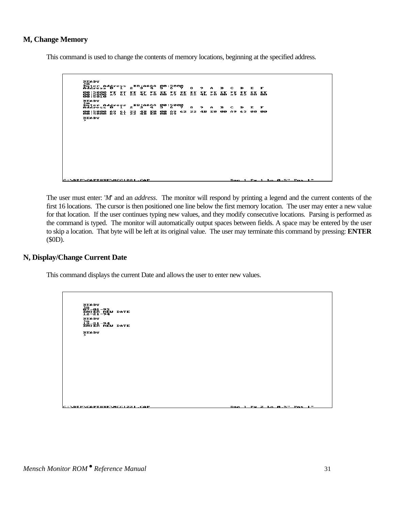## **M, Change Memory**

This command is used to change the contents of memory locations, beginning at the specified address.

:EADY >;;;;;;;;;<br>Enter\_Address\_BB;jAAA4 g0:5009<br>Address\_0 1 2 3 444 g0:5009 8 9  $\sim$  $\mathbf{R}$  $\epsilon$  $\mathbf{p}$ r<br>Sendy<br>Rendy<br>Riddress Oreis 2BBjoogo go:2009 on:<br>Filter Address 2BB Angn go: 5000 8 9 A B C D E F<br>Address dress 2BB Angn go: 5000 8 9 A B C D E F<br>20: 5000 A 3 61 22 48 E0 00 A 3 62 22 4B E0 00 A 9 63 00 00 **READY** C:\DIP\CAPTURE\MCC1221.CAP Doc  $\mathbf{1}$  $P_{\mathcal{H}}$ ø 5" Pos

The user must enter: '*M*' and an *address*. The monitor will respond by printing a legend and the current contents of the first 16 locations. The cursor is then positioned one line below the first memory location. The user may enter a new value for that location. If the user continues typing new values, and they modify consecutive locations. Parsing is performed as the command is typed. The monitor will automatically output spaces between fields. A space may be entered by the user to skip a location. That byte will be left at its original value. The user may terminate this command by pressing: **ENTER** (\$0D).

#### **N, Display/Change Current Date**

This command displays the current Date and allows the user to enter new values.

:EADY 20-01-93<br>Brier New Date<br>12-21-94 READY  $\frac{12}{\text{ENTER}}$   $\frac{21}{\text{NEU}}$  pate READY \DTP\CAPTURE\MCC1221 . CAI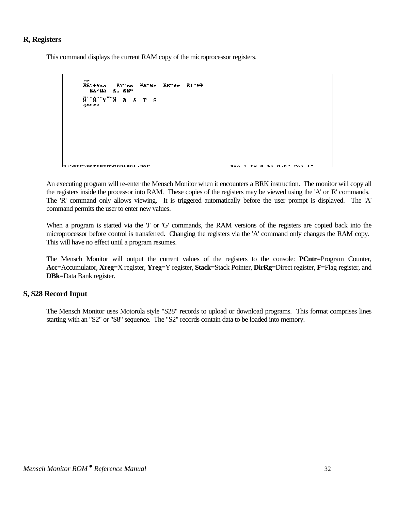## **R, Registers**

This command displays the current RAM copy of the microprocessor registers.

```
66 : 163 a e
                       61^{\circ}00
                                 ES Bc 88°Fr Siack
            BA*B8 系 BB*
         Status Reg
                          \mathbf{R}\frac{1}{6} \frac{2}{1} \frac{6}{1}READ
C:\DTP\CAPTURE\MCC1221.CAP
                                                                         Doc
```
An executing program will re-enter the Mensch Monitor when it encounters a BRK instruction. The monitor will copy all the registers inside the processor into RAM. These copies of the registers may be viewed using the 'A' or 'R' commands. The 'R' command only allows viewing. It is triggered automatically before the user prompt is displayed. The 'A' command permits the user to enter new values.

When a program is started via the 'J' or 'G' commands, the RAM versions of the registers are copied back into the microprocessor before control is transferred. Changing the registers via the 'A' command only changes the RAM copy. This will have no effect until a program resumes.

The Mensch Monitor will output the current values of the registers to the console: **PCntr**=Program Counter, **Acc**=Accumulator, **Xreg**=X register, **Yreg**=Y register, **Stack**=Stack Pointer, **DirRg**=Direct register, **F**=Flag register, and **DBk**=Data Bank register.

### **S, S28 Record Input**

The Mensch Monitor uses Motorola style "S28" records to upload or download programs. This format comprises lines starting with an "S2" or "S8" sequence. The "S2" records contain data to be loaded into memory.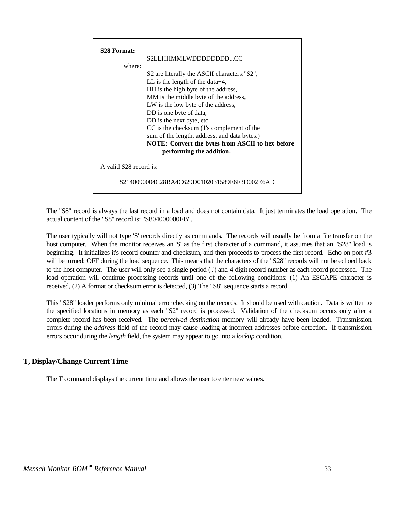| <b>S28 Format:</b>     |                                                                                     |
|------------------------|-------------------------------------------------------------------------------------|
|                        | S2LLHHMMLWDDDDDDDDCC                                                                |
| where:                 |                                                                                     |
|                        | S2 are literally the ASCII characters:"S2",                                         |
|                        | LL is the length of the data+4,                                                     |
|                        | HH is the high byte of the address,                                                 |
|                        | MM is the middle byte of the address,                                               |
|                        | LW is the low byte of the address,                                                  |
|                        | DD is one byte of data,                                                             |
|                        | DD is the next byte, etc.                                                           |
|                        | CC is the checksum (1's complement of the                                           |
|                        | sum of the length, address, and data bytes.)                                        |
|                        | <b>NOTE:</b> Convert the bytes from ASCII to hex before<br>performing the addition. |
| A valid S28 record is: |                                                                                     |
|                        | S2140090004C28BA4C629D0102031589E6F3D002E6AD                                        |

The "S8" record is always the last record in a load and does not contain data. It just terminates the load operation. The actual content of the "S8" record is: "S804000000FB".

The user typically will not type 'S' records directly as commands. The records will usually be from a file transfer on the host computer. When the monitor receives an 'S' as the first character of a command, it assumes that an "S28" load is beginning. It initializes it's record counter and checksum, and then proceeds to process the first record. Echo on port #3 will be turned: OFF during the load sequence. This means that the characters of the "S28" records will not be echoed back to the host computer. The user will only see a single period ('.') and 4-digit record number as each record processed. The load operation will continue processing records until one of the following conditions: (1) An ESCAPE character is received, (2) A format or checksum error is detected, (3) The "S8" sequence starts a record.

This "S28" loader performs only minimal error checking on the records. It should be used with caution. Data is written to the specified locations in memory as each "S2" record is processed. Validation of the checksum occurs only after a complete record has been received. The *perceived destination* memory will already have been loaded. Transmission errors during the *address* field of the record may cause loading at incorrect addresses before detection. If transmission errors occur during the *length* field, the system may appear to go into a *lockup* condition.

## **T, Display/Change Current Time**

The T command displays the current time and allows the user to enter new values.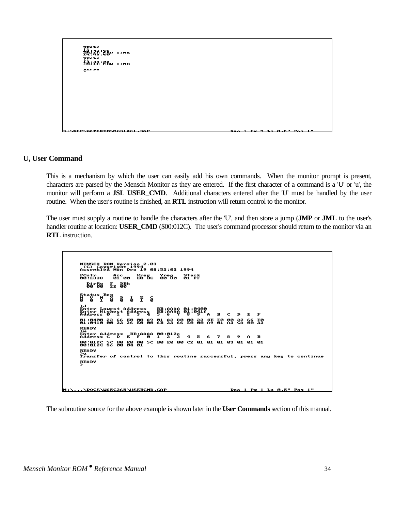```
READY<br>12:43:55<br>12:43:55<br>ENTER<br>14:43:00<br>READY
         EADY
      READY<br>14:43:02<br>ENTER NEW TIME
      READY
DIP\CAPTURE\MCC1221
```
### **U, User Command**

This is a mechanism by which the user can easily add his own commands. When the monitor prompt is present, characters are parsed by the Mensch Monitor as they are entered. If the first character of a command is a 'U' or 'u', the monitor will perform a **JSL USER\_CMD**. Additional characters entered after the 'U' must be handled by the user routine. When the user's routine is finished, an **RTL** instruction will return control to the monitor.

The user must supply a routine to handle the characters after the 'U', and then store a jump (**JMP** or **JML** to the user's handler routine at location: **USER\_CMD** (\$00:012C). The user's command processor should return to the monitor via an **RTL** instruction.

```
MENSCH ROM Version 2.03<br>(CC) Copyright 1994<br>Assembled Mon Dec 19 08:52:02 1994
        PCntr acc Xreg Yreg Stack<br>00:E338 01 00 E0 BC 00 80 01 FF
           \begin{array}{cc} \nDirRg & F & DBk \\ \n\theta\theta & \theta\theta & 22 & \theta\theta \n\end{array}Status Reg<br>Nu MRX DIZC<br>00100010
        >d<br>Enter Lowest Address - BB:AAAA 01:0400<br>Address 0 1 2 3 3 4 5 8 8 9 1 041 A B C D E F<br>Address 0 1 2 3 4 5 6 6 9 3 9 A B C D E F
        01:0400 33 55 E0 00 03 01 03 80 00 33 4E E0 00 33 56 E0
        READY
        88:812C 5c 80 84 81<br>88:812C 5c 80 84 81<br>RAGIESS C P E F 8 1 2 3 4 3 6 7 8 7 8 9 1 8
        READY<br>>u<br>Transfer of control to this routine successful, press any key to continue
        READY
M:\...\DOCS\W65C265\USERCMD.CAP
                                                                              Doc 1 Pg 1 Ln 0.5" Pos 1"
```
The subroutine source for the above example is shown later in the **User Commands** section of this manual.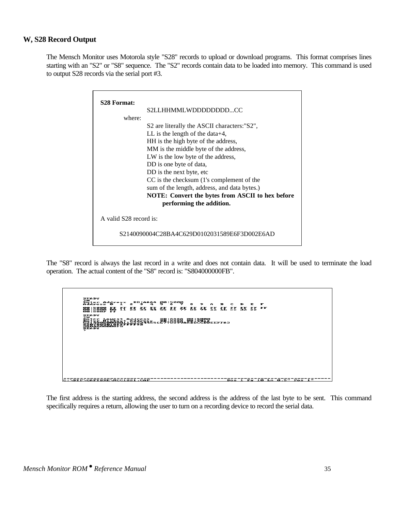### **W, S28 Record Output**

The Mensch Monitor uses Motorola style "S28" records to upload or download programs. This format comprises lines starting with an "S2" or "S8" sequence. The "S2" records contain data to be loaded into memory. This command is used to output S28 records via the serial port #3.

| <b>S28 Format:</b>     |                                                         |
|------------------------|---------------------------------------------------------|
|                        | S2LLHHMMLWDDDDDDDDCC                                    |
| where:                 |                                                         |
|                        | S2 are literally the ASCII characters: "S2",            |
|                        | LL is the length of the data+4,                         |
|                        | HH is the high byte of the address,                     |
|                        | MM is the middle byte of the address,                   |
|                        | LW is the low byte of the address,                      |
|                        | DD is one byte of data,                                 |
|                        | DD is the next byte, etc                                |
|                        | CC is the checksum (1's complement of the               |
|                        | sum of the length, address, and data bytes.)            |
|                        | <b>NOTE:</b> Convert the bytes from ASCII to hex before |
|                        | performing the addition.                                |
| A valid S28 record is: |                                                         |
|                        | S2140090004C28BA4C629D0102031589E6F3D002E6AD            |

The "S8" record is always the last record in a write and does not contain data. It will be used to terminate the load operation. The actual content of the "S8" record is: "S804000000FB".



The first address is the starting address, the second address is the address of the last byte to be sent. This command specifically requires a return, allowing the user to turn on a recording device to record the serial data.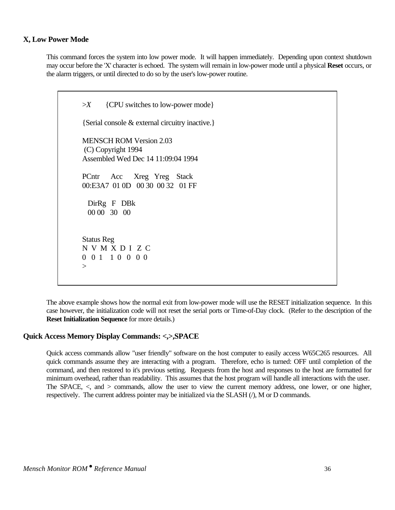### **X, Low Power Mode**

This command forces the system into low power mode. It will happen immediately. Depending upon context shutdown may occur before the 'X' character is echoed. The system will remain in low-power mode until a physical **Reset** occurs, or the alarm triggers, or until directed to do so by the user's low-power routine.

>*X* {CPU switches to low-power mode} {Serial console & external circuitry inactive.} MENSCH ROM Version 2.03 (C) Copyright 1994 Assembled Wed Dec 14 11:09:04 1994 PCntr Acc Xreg Yreg Stack 00:E3A7 01 0D 00 30 00 32 01 FF DirRg F DBk 00 00 30 00 Status Reg N V M X D I Z C 0 0 1 1 0 0 0 0 >

The above example shows how the normal exit from low-power mode will use the RESET initialization sequence. In this case however, the initialization code will not reset the serial ports or Time-of-Day clock. (Refer to the description of the **Reset Initialization Sequence** for more details.)

#### **Quick Access Memory Display Commands: <,>,SPACE**

Quick access commands allow "user friendly" software on the host computer to easily access W65C265 resources. All quick commands assume they are interacting with a program. Therefore, echo is turned: OFF until completion of the command, and then restored to it's previous setting. Requests from the host and responses to the host are formatted for minimum overhead, rather than readability. This assumes that the host program will handle all interactions with the user. The SPACE, <, and > commands, allow the user to view the current memory address, one lower, or one higher, respectively. The current address pointer may be initialized via the SLASH (/), M or D commands.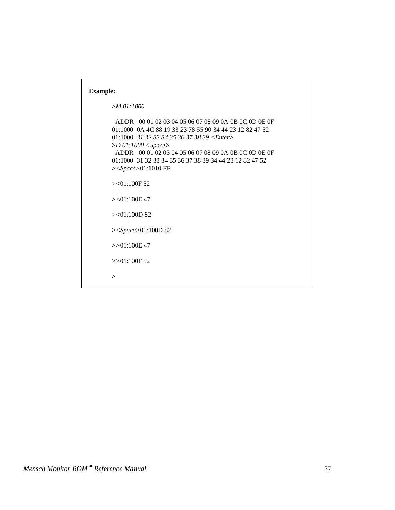```
Example:
>M 01:1000
  ADDR 00 01 02 03 04 05 06 07 08 09 0A 0B 0C 0D 0E 0F
01:1000 0A 4C 88 19 33 23 78 55 90 34 44 23 12 82 47 52
01:1000 31 32 33 34 35 36 37 38 39 <Enter>
>D 01:1000 <Space>
  ADDR 00 01 02 03 04 05 06 07 08 09 0A 0B 0C 0D 0E 0F
01:1000 31 32 33 34 35 36 37 38 39 34 44 23 12 82 47 52
><Space>01:1010 FF
><01:100F 52
><01:100E 47
><01:100D 82
><Space>01:100D 82
>>01:100E 47
>>01:100F 52
>
```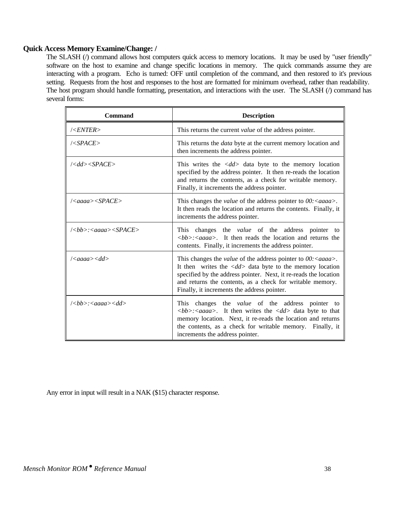# **Quick Access Memory Examine/Change: /**

The SLASH ( $\ell$ ) command allows host computers quick access to memory locations. It may be used by "user friendly" software on the host to examine and change specific locations in memory. The quick commands assume they are interacting with a program. Echo is turned: OFF until completion of the command, and then restored to it's previous setting. Requests from the host and responses to the host are formatted for minimum overhead, rather than readability. The host program should handle formatting, presentation, and interactions with the user. The SLASH (/) command has several forms:

| <b>Command</b>                                        | <b>Description</b>                                                                                                                                                                                                                                                                                                                                  |
|-------------------------------------------------------|-----------------------------------------------------------------------------------------------------------------------------------------------------------------------------------------------------------------------------------------------------------------------------------------------------------------------------------------------------|
| $\angle$ <i>ENTER</i>                                 | This returns the current <i>value</i> of the address pointer.                                                                                                                                                                                                                                                                                       |
| $\angle$ SPACE>                                       | This returns the <i>data</i> byte at the current memory location and<br>then increments the address pointer.                                                                                                                                                                                                                                        |
| $\angle$ dd> <space></space>                          | This writes the $\langle dd \rangle$ data byte to the memory location<br>specified by the address pointer. It then re-reads the location<br>and returns the contents, as a check for writable memory.<br>Finally, it increments the address pointer.                                                                                                |
| $\angle$ <aaaa<math>\angle<space></space></aaaa<math> | This changes the <i>value</i> of the address pointer to $00$ : < <i>aaaa</i> >.<br>It then reads the location and returns the contents. Finally, it<br>increments the address pointer.                                                                                                                                                              |
| / <bb>:<aaaa><space></space></aaaa></bb>              | This changes the <i>value</i> of the address pointer to<br>$  bb>$ : $  aaaa$ . It then reads the location and returns the<br>contents. Finally, it increments the address pointer.                                                                                                                                                                 |
| $\alpha$ aaaa $>\alpha$ dd $>$                        | This changes the <i>value</i> of the address pointer to $00$ : $\langle aaaa \rangle$ .<br>It then writes the $\langle dd \rangle$ data byte to the memory location<br>specified by the address pointer. Next, it re-reads the location<br>and returns the contents, as a check for writable memory.<br>Finally, it increments the address pointer. |
| $\langle >, : $                                       | This changes the <i>value</i> of the address pointer to<br>memory location. Next, it re-reads the location and returns<br>the contents, as a check for writable memory. Finally, it<br>increments the address pointer.                                                                                                                              |

Any error in input will result in a NAK (\$15) character response.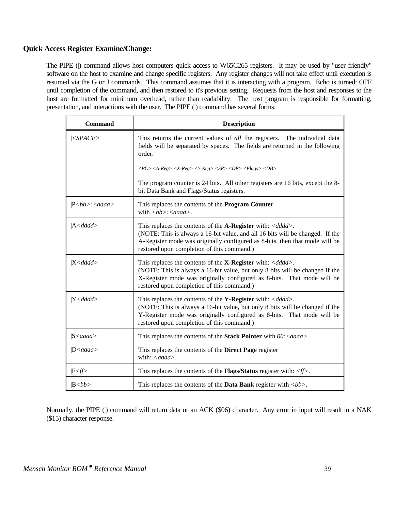# **Quick Access Register Examine/Change:**

The PIPE () command allows host computers quick access to W65C265 registers. It may be used by "user friendly" software on the host to examine and change specific registers. Any register changes will not take effect until execution is resumed via the G or J commands. This command assumes that it is interacting with a program. Echo is turned: OFF until completion of the command, and then restored to it's previous setting. Requests from the host and responses to the host are formatted for minimum overhead, rather than readability. The host program is responsible for formatting, presentation, and interactions with the user. The PIPE (|) command has several forms:

| <b>Command</b>                                                                                                               | <b>Description</b>                                                                                                                                                                                                                                                                                 |
|------------------------------------------------------------------------------------------------------------------------------|----------------------------------------------------------------------------------------------------------------------------------------------------------------------------------------------------------------------------------------------------------------------------------------------------|
| $ <$ SPACE>                                                                                                                  | This returns the current values of all the registers. The individual data<br>fields will be separated by spaces. The fields are returned in the following<br>order:                                                                                                                                |
|                                                                                                                              | $\langle PC \rangle$ <a-reg> <x-reg> <y-reg> <sp> <dp> <flags> <db></db></flags></dp></sp></y-reg></x-reg></a-reg>                                                                                                                                                                                 |
|                                                                                                                              | The program counter is 24 bits. All other registers are 16 bits, except the 8-<br>bit Data Bank and Flags/Status registers.                                                                                                                                                                        |
| $ P$ : <aaaa></aaaa>                                                                                                         | This replaces the contents of the <b>Program Counter</b><br>with $b$ $b$ $ caaaa$ $ caaaa$ $ caaaa$                                                                                                                                                                                                |
| A < d d d d>                                                                                                                 | This replaces the contents of the $A$ -Register with: < $d\ddot{\theta}$ .<br>(NOTE: This is always a 16-bit value, and all 16 bits will be changed. If the<br>A-Register mode was originally configured as 8-bits, then that mode will be<br>restored upon completion of this command.)           |
| $ X \lt dddd$                                                                                                                | This replaces the contents of the <b>X-Register</b> with: $\langle d \, dd \, d \rangle$ .<br>(NOTE: This is always a 16-bit value, but only 8 bits will be changed if the<br>X-Register mode was originally configured as 8-bits. That mode will be<br>restored upon completion of this command.) |
| $ Y <$ dddd>                                                                                                                 | This replaces the contents of the Y-Register with: $\langle d\text{d}d\text{d}\rangle$ .<br>(NOTE: This is always a 16-bit value, but only 8 bits will be changed if the<br>Y-Register mode was originally configured as 8-bits. That mode will be<br>restored upon completion of this command.)   |
| S <aaaa< td=""><td>This replaces the contents of the <b>Stack Pointer</b> with <math>00</math>: &lt; aaaa &gt;.</td></aaaa<> | This replaces the contents of the <b>Stack Pointer</b> with $00$ : < aaaa >.                                                                                                                                                                                                                       |
| $D$ <aaaa></aaaa>                                                                                                            | This replaces the contents of the <b>Direct Page</b> register<br>with: $\langle \text{aaaa}\rangle$ .                                                                                                                                                                                              |
| $ F \leq ff >$                                                                                                               | This replaces the contents of the <b>Flags/Status</b> register with: $\langle f \rangle$ .                                                                                                                                                                                                         |
| B <bb></bb>                                                                                                                  | This replaces the contents of the <b>Data Bank</b> register with $bb>$ .                                                                                                                                                                                                                           |

Normally, the PIPE (|) command will return data or an ACK (\$06) character. Any error in input will result in a NAK (\$15) character response.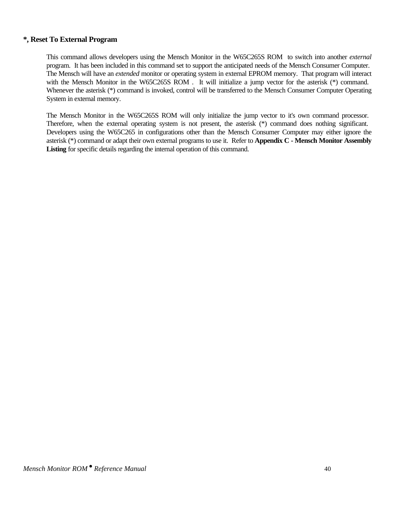# **\*, Reset To External Program**

This command allows developers using the Mensch Monitor in the W65C265S ROM to switch into another *external* program. It has been included in this command set to support the anticipated needs of the Mensch Consumer Computer. The Mensch will have an *extended* monitor or operating system in external EPROM memory. That program will interact with the Mensch Monitor in the W65C265S ROM. It will initialize a jump vector for the asterisk (\*) command. Whenever the asterisk (\*) command is invoked, control will be transferred to the Mensch Consumer Computer Operating System in external memory.

The Mensch Monitor in the W65C265S ROM will only initialize the jump vector to it's own command processor. Therefore, when the external operating system is not present, the asterisk (\*) command does nothing significant. Developers using the W65C265 in configurations other than the Mensch Consumer Computer may either ignore the asterisk (\*) command or adapt their own external programs to use it. Refer to **Appendix C - Mensch Monitor Assembly Listing** for specific details regarding the internal operation of this command.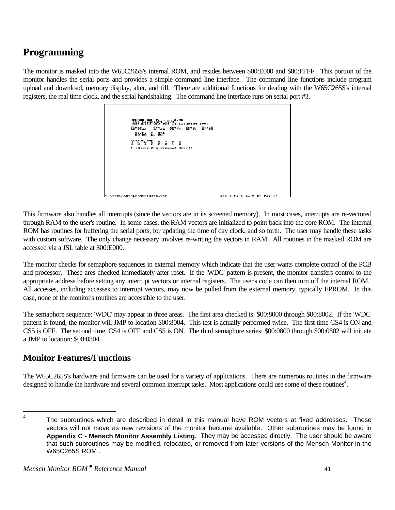# **Programming**

The monitor is masked into the W65C265S's internal ROM, and resides between \$00:E000 and \$00:FFFF. This portion of the monitor handles the serial ports and provides a simple command line interface. The command line functions include program upload and download, memory display, alter, and fill. There are additional functions for dealing with the W65C265S's internal registers, the real time clock, and the serial handshaking. The command line interface runs on serial port #3.

MENSCH ROM Version 2.03<br>(CC) Copyright 1994<br>Assembled Wed Dec 14 11:09:04 1994 Bentr<sub>44</sub> area Kreg area Stack  $Ba^rBb$   $\bar{z}_2$   $Bb^r$ Status Reg<br>8 8 8 8 7 8 (Enter Any Command Here!)

This firmware also handles all interrupts (since the vectors are in its screened memory). In most cases, interrupts are re-vectored through RAM to the user's routine. In some cases, the RAM vectors are initialized to point back into the core ROM. The internal ROM has routines for buffering the serial ports, for updating the time of day clock, and so forth. The user may handle these tasks with custom software. The only change necessary involves re-writing the vectors in RAM. All routines in the masked ROM are accessed via a JSL table at \$00:E000.

The monitor checks for semaphore sequences in external memory which indicate that the user wants complete control of the PCB and processor. These ares checked immediately after reset. If the 'WDC' pattern is present, the monitor transfers control to the appropriate address before setting any interrupt vectors or internal registers. The user's code can then turn off the internal ROM. All accesses, including accesses to interrupt vectors, may now be pulled from the external memory, typically EPROM. In this case, none of the monitor's routines are accessible to the user.

The semaphore sequence: 'WDC' may appear in three areas. The first area checked is: \$00:8000 through \$00:8002. If the 'WDC' pattern is found, the monitor will JMP to location \$00:8004. This test is actually performed twice. The first time CS4 is ON and CS5 is OFF. The second time, CS4 is OFF and CS5 is ON. The third semaphore series: \$00:0800 through \$00:0802 will initiate a JMP to location: \$00:0804.

# **Monitor Features/Functions**

The W65C265S's hardware and firmware can be used for a variety of applications. There are numerous routines in the firmware designed to handle the hardware and several common interrupt tasks. Most applications could use some of these routines<sup>4</sup>.

 4 The subroutines which are described in detail in this manual have ROM vectors at fixed addresses. These vectors will not move as new revisions of the monitor become available. Other subroutines may be found in **Appendix C - Mensch Monitor Assembly Listing**. They may be accessed directly. The user should be aware that such subroutines may be modified, relocated, or removed from later versions of the Mensch Monitor in the W65C265S ROM .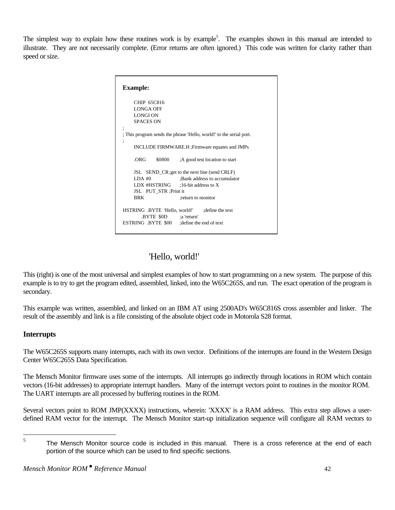The simplest way to explain how these routines work is by example<sup>5</sup>. The examples shown in this manual are intended to illustrate. They are not necessarily complete. (Error returns are often ignored.) This code was written for clarity rather than speed or size.

| <b>Example:</b>                                                          |                                                                     |
|--------------------------------------------------------------------------|---------------------------------------------------------------------|
| CHIP 65C816                                                              |                                                                     |
| LONGA OFF                                                                |                                                                     |
| LONGI ON                                                                 |                                                                     |
| <b>SPACES ON</b><br>:                                                    |                                                                     |
|                                                                          | ; This program sends the phrase 'Hello, world!' to the serial port. |
| ,                                                                        |                                                                     |
|                                                                          | INCLUDE FIRMWARE.H ; Firmware equates and JMPs                      |
| .ORG                                                                     | \$0800 :A good test location to start                               |
|                                                                          | JSL SEND_CR; get to the next line (send CRLF)                       |
| LDA#0                                                                    | ;Bank address to accumulator                                        |
| LDX #HSTRING :16-bit address to X                                        |                                                                     |
| JSL PUT STR :Print it                                                    |                                                                     |
| <b>BRK</b>                                                               | : return to monitor                                                 |
| HSTRING .BYTE 'Hello, world!' ;define the text<br>.BYTE \$0D :a 'return' |                                                                     |
| ESTRING .BYTE \$00 : define the end of text                              |                                                                     |

# 'Hello, world!'

This (right) is one of the most universal and simplest examples of how to start programming on a new system. The purpose of this example is to try to get the program edited, assembled, linked, into the W65C265S, and run. The exact operation of the program is secondary.

This example was written, assembled, and linked on an IBM AT using 2500AD's W65C816S cross assembler and linker. The result of the assembly and link is a file consisting of the absolute object code in Motorola S28 format.

# **Interrupts**

The W65C265S supports many interrupts, each with its own vector. Definitions of the interrupts are found in the Western Design Center W65C265S Data Specification.

The Mensch Monitor firmware uses some of the interrupts. All interrupts go indirectly through locations in ROM which contain vectors (16-bit addresses) to appropriate interrupt handlers. Many of the interrupt vectors point to routines in the monitor ROM. The UART interrupts are all processed by buffering routines in the ROM.

Several vectors point to ROM JMP(XXXX) instructions, wherein: 'XXXX' is a RAM address. This extra step allows a userdefined RAM vector for the interrupt. The Mensch Monitor start-up initialization sequence will configure all RAM vectors to

 5 The Mensch Monitor source code is included in this manual. There is a cross reference at the end of each portion of the source which can be used to find specific sections.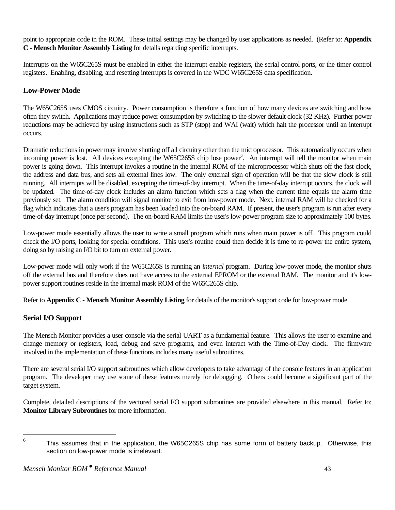point to appropriate code in the ROM. These initial settings may be changed by user applications as needed. (Refer to: **Appendix C - Mensch Monitor Assembly Listing** for details regarding specific interrupts.

Interrupts on the W65C265S must be enabled in either the interrupt enable registers, the serial control ports, or the timer control registers. Enabling, disabling, and resetting interrupts is covered in the WDC W65C265S data specification.

# **Low-Power Mode**

The W65C265S uses CMOS circuitry. Power consumption is therefore a function of how many devices are switching and how often they switch. Applications may reduce power consumption by switching to the slower default clock (32 KHz). Further power reductions may be achieved by using instructions such as STP (stop) and WAI (wait) which halt the processor until an interrupt occurs.

Dramatic reductions in power may involve shutting off all circuitry other than the microprocessor. This automatically occurs when incoming power is lost. All devices excepting the W65C265S chip lose power<sup>6</sup>. An interrupt will tell the monitor when main power is going down. This interrupt invokes a routine in the internal ROM of the microprocessor which shuts off the fast clock, the address and data bus, and sets all external lines low. The only external sign of operation will be that the slow clock is still running. All interrupts will be disabled, excepting the time-of-day interrupt. When the time-of-day interrupt occurs, the clock will be updated. The time-of-day clock includes an alarm function which sets a flag when the current time equals the alarm time previously set. The alarm condition will signal monitor to exit from low-power mode. Next, internal RAM will be checked for a flag which indicates that a user's program has been loaded into the on-board RAM. If present, the user's program is run after every time-of-day interrupt (once per second). The on-board RAM limits the user's low-power program size to approximately 100 bytes.

Low-power mode essentially allows the user to write a small program which runs when main power is off. This program could check the I/O ports, looking for special conditions. This user's routine could then decide it is time to re-power the entire system, doing so by raising an I/O bit to turn on external power.

Low-power mode will only work if the W65C265S is running an *internal* program. During low-power mode, the monitor shuts off the external bus and therefore does not have access to the external EPROM or the external RAM. The monitor and it's lowpower support routines reside in the internal mask ROM of the W65C265S chip.

Refer to **Appendix C - Mensch Monitor Assembly Listing** for details of the monitor's support code for low-power mode.

# **Serial I/O Support**

The Mensch Monitor provides a user console via the serial UART as a fundamental feature. This allows the user to examine and change memory or registers, load, debug and save programs, and even interact with the Time-of-Day clock. The firmware involved in the implementation of these functions includes many useful subroutines.

There are several serial I/O support subroutines which allow developers to take advantage of the console features in an application program. The developer may use some of these features merely for debugging. Others could become a significant part of the target system.

Complete, detailed descriptions of the vectored serial I/O support subroutines are provided elsewhere in this manual. Refer to: **Monitor Library Subroutines** for more information.

6

This assumes that in the application, the W65C265S chip has some form of battery backup. Otherwise, this section on low-power mode is irrelevant.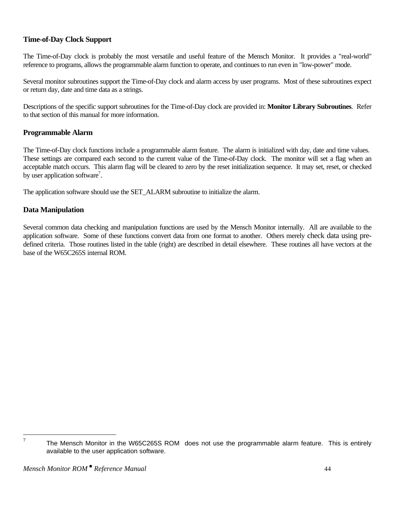# **Time-of-Day Clock Support**

The Time-of-Day clock is probably the most versatile and useful feature of the Mensch Monitor. It provides a "real-world" reference to programs, allows the programmable alarm function to operate, and continues to run even in "low-power" mode.

Several monitor subroutines support the Time-of-Day clock and alarm access by user programs. Most of these subroutines expect or return day, date and time data as a strings.

Descriptions of the specific support subroutines for the Time-of-Day clock are provided in: **Monitor Library Subroutines**. Refer to that section of this manual for more information.

# **Programmable Alarm**

The Time-of-Day clock functions include a programmable alarm feature. The alarm is initialized with day, date and time values. These settings are compared each second to the current value of the Time-of-Day clock. The monitor will set a flag when an acceptable match occurs. This alarm flag will be cleared to zero by the reset initialization sequence. It may set, reset, or checked by user application software<sup>7</sup>.

The application software should use the SET\_ALARM subroutine to initialize the alarm.

# **Data Manipulation**

Several common data checking and manipulation functions are used by the Mensch Monitor internally. All are available to the application software. Some of these functions convert data from one format to another. Others merely check data using predefined criteria. Those routines listed in the table (right) are described in detail elsewhere. These routines all have vectors at the base of the W65C265S internal ROM.

 7 The Mensch Monitor in the W65C265S ROM does not use the programmable alarm feature. This is entirely available to the user application software.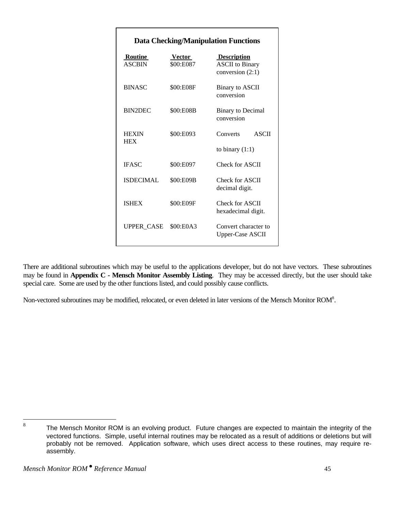# **Data Checking/Manipulation Functions**

| Routine<br><b>ASCBIN</b>   | Vector<br>\$00:E087 | <b>Description</b><br><b>ASCII</b> to Binary<br>conversion $(2:1)$ |
|----------------------------|---------------------|--------------------------------------------------------------------|
| <b>BINASC</b>              | \$00:E08F           | <b>Binary to ASCII</b><br>conversion                               |
| <b>BIN2DEC</b>             | \$00:E08B           | <b>Binary to Decimal</b><br>conversion                             |
| <b>HEXIN</b><br><b>HEX</b> | \$00:E093           | Converts<br><b>ASCII</b>                                           |
|                            |                     | to binary $(1:1)$                                                  |
| <b>IFASC</b>               | \$00:E097           | Check for ASCII                                                    |
| ISDECIMAL                  | \$00:E09B           | Check for ASCII<br>decimal digit.                                  |
| <b>ISHEX</b>               | \$00:E09F           | Check for ASCII<br>hexadecimal digit.                              |
| <b>UPPER CASE</b>          | \$00:EOA3           | Convert character to<br><b>Upper-Case ASCII</b>                    |
|                            |                     |                                                                    |

There are additional subroutines which may be useful to the applications developer, but do not have vectors. These subroutines may be found in **Appendix C - Mensch Monitor Assembly Listing**. They may be accessed directly, but the user should take special care. Some are used by the other functions listed, and could possibly cause conflicts.

Non-vectored subroutines may be modified, relocated, or even deleted in later versions of the Mensch Monitor ROM<sup>8</sup>.

 $\frac{1}{8}$ 

The Mensch Monitor ROM is an evolving product. Future changes are expected to maintain the integrity of the vectored functions. Simple, useful internal routines may be relocated as a result of additions or deletions but will probably not be removed. Application software, which uses direct access to these routines, may require reassembly.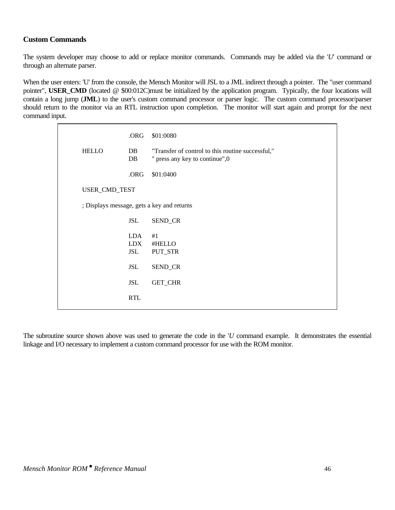# **Custom Commands**

The system developer may choose to add or replace monitor commands. Commands may be added via the '*U*' command or through an alternate parser.

When the user enters: 'U' from the console, the Mensch Monitor will JSL to a JML indirect through a pointer. The "user command pointer", **USER\_CMD** (located @ \$00:012C)must be initialized by the application program. Typically, the four locations will contain a long jump (**JML**) to the user's custom command processor or parser logic. The custom command processor/parser should return to the monitor via an RTL instruction upon completion. The monitor will start again and prompt for the next command input.

|               | .ORG                | \$01:0080                                                                           |
|---------------|---------------------|-------------------------------------------------------------------------------------|
| <b>HELLO</b>  | DB<br>DB            | "Transfer of control to this routine successful,"<br>" press any key to continue",0 |
|               | .ORG                | \$01:0400                                                                           |
| USER_CMD_TEST |                     |                                                                                     |
|               |                     | ; Displays message, gets a key and returns                                          |
|               | <b>JSL</b>          | SEND_CR                                                                             |
|               | LDA.<br>LDX.<br>JSL | #1<br>#HELLO<br>PUT_STR                                                             |
|               | <b>JSL</b>          | SEND_CR                                                                             |
|               | <b>JSL</b>          | <b>GET_CHR</b>                                                                      |
|               | <b>RTL</b>          |                                                                                     |

The subroutine source shown above was used to generate the code in the '*U* command example. It demonstrates the essential linkage and I/O necessary to implement a custom command processor for use with the ROM monitor.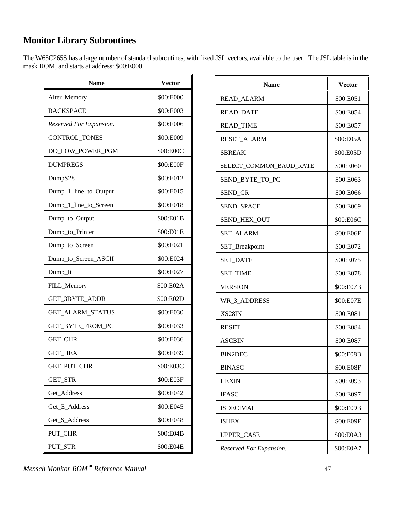# **Monitor Library Subroutines**

The W65C265S has a large number of standard subroutines, with fixed JSL vectors, available to the user. The JSL table is in the mask ROM, and starts at address: \$00:E000.

| <b>Name</b>             | <b>Vector</b> |
|-------------------------|---------------|
| Alter_Memory            | \$00:E000     |
| <b>BACKSPACE</b>        | \$00:E003     |
| Reserved For Expansion. | \$00:E006     |
| CONTROL_TONES           | \$00:E009     |
| DO_LOW_POWER_PGM        | \$00:E00C     |
| <b>DUMPREGS</b>         | \$00:E00F     |
| DumpS28                 | \$00:E012     |
| Dump_1_line_to_Output   | \$00:E015     |
| Dump_1_line_to_Screen   | \$00:E018     |
| Dump_to_Output          | \$00:E01B     |
| Dump_to_Printer         | \$00:E01E     |
| Dump_to_Screen          | \$00:E021     |
| Dump_to_Screen_ASCII    | \$00:E024     |
| Dump_It                 | \$00:E027     |
| FILL_Memory             | \$00:E02A     |
| GET_3BYTE_ADDR          | \$00:E02D     |
| GET_ALARM_STATUS        | \$00:E030     |
| GET_BYTE_FROM_PC        | \$00:E033     |
| <b>GET_CHR</b>          | \$00:E036     |
| <b>GET_HEX</b>          | \$00:E039     |
| <b>GET PUT CHR</b>      | \$00:E03C     |
| <b>GET_STR</b>          | \$00:E03F     |
| Get_Address             | \$00:E042     |
| Get_E_Address           | \$00:E045     |
| Get S Address           | \$00:E048     |
| PUT CHR                 | \$00:E04B     |
| PUT_STR                 | \$00:E04E     |

| <b>Name</b>             | <b>Vector</b> |
|-------------------------|---------------|
| <b>READ_ALARM</b>       | \$00:E051     |
| <b>READ_DATE</b>        | \$00:E054     |
| <b>READ_TIME</b>        | \$00:E057     |
| <b>RESET_ALARM</b>      | \$00:E05A     |
| <b>SBREAK</b>           | \$00:E05D     |
| SELECT_COMMON_BAUD_RATE | \$00:E060     |
| SEND_BYTE_TO_PC         | \$00:E063     |
| SEND_CR                 | \$00:E066     |
| SEND_SPACE              | \$00:E069     |
| SEND_HEX_OUT            | \$00:E06C     |
| <b>SET_ALARM</b>        | \$00:E06F     |
| SET_Breakpoint          | \$00:E072     |
| <b>SET_DATE</b>         | \$00:E075     |
| <b>SET_TIME</b>         | \$00:E078     |
| <b>VERSION</b>          | \$00:E07B     |
| WR_3_ADDRESS            | \$00:E07E     |
| XS28IN                  | \$00:E081     |
| <b>RESET</b>            | \$00:E084     |
| <b>ASCBIN</b>           | \$00:E087     |
| <b>BIN2DEC</b>          | \$00:E08B     |
| <b>BINASC</b>           | \$00:E08F     |
| <b>HEXIN</b>            | \$00:E093     |
| <b>IFASC</b>            | \$00:E097     |
| <b>ISDECIMAL</b>        | \$00:E09B     |
| <b>ISHEX</b>            | \$00:E09F     |
| <b>UPPER_CASE</b>       | \$00:E0A3     |
| Reserved For Expansion. | \$00:E0A7     |

*Mensch Monitor ROM* **•** *Reference Manual* 47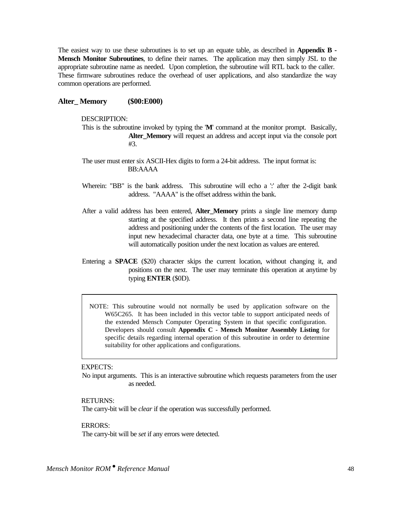The easiest way to use these subroutines is to set up an equate table, as described in **Appendix B - Mensch Monitor Subroutines**, to define their names. The application may then simply JSL to the appropriate subroutine name as needed. Upon completion, the subroutine will RTL back to the caller. These firmware subroutines reduce the overhead of user applications, and also standardize the way common operations are performed.

# **Alter\_ Memory (\$00:E000)**

# DESCRIPTION:

- This is the subroutine invoked by typing the '**M**' command at the monitor prompt. Basically, Alter Memory will request an address and accept input via the console port #3.
- The user must enter six ASCII-Hex digits to form a 24-bit address. The input format is: BB:AAAA
- Wherein: "BB" is the bank address. This subroutine will echo a ':' after the 2-digit bank address. "AAAA" is the offset address within the bank.
- After a valid address has been entered, **Alter\_Memory** prints a single line memory dump starting at the specified address. It then prints a second line repeating the address and positioning under the contents of the first location. The user may input new hexadecimal character data, one byte at a time. This subroutine will automatically position under the next location as values are entered.
- Entering a **SPACE** (\$20) character skips the current location, without changing it, and positions on the next. The user may terminate this operation at anytime by typing **ENTER** (\$0D).
	- NOTE: This subroutine would not normally be used by application software on the W65C265. It has been included in this vector table to support anticipated needs of the extended Mensch Computer Operating System in that specific configuration. Developers should consult **Appendix C - Mensch Monitor Assembly Listing** for specific details regarding internal operation of this subroutine in order to determine suitability for other applications and configurations.

#### EXPECTS:

No input arguments. This is an interactive subroutine which requests parameters from the user as needed.

# RETURNS:

The carry-bit will be *clear* if the operation was successfully performed.

# ERRORS:

The carry-bit will be *set* if any errors were detected.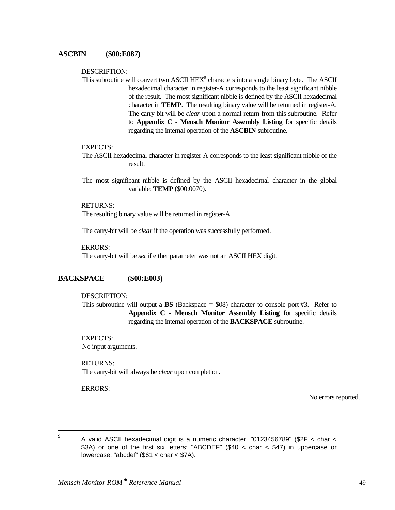# **ASCBIN (\$00:E087)**

# DESCRIPTION:

This subroutine will convert two ASCII  $\text{HEX}^9$  characters into a single binary byte. The ASCII hexadecimal character in register-A corresponds to the least significant nibble of the result. The most significant nibble is defined by the ASCII hexadecimal character in **TEMP**. The resulting binary value will be returned in register-A. The carry-bit will be *clear* upon a normal return from this subroutine. Refer to **Appendix C - Mensch Monitor Assembly Listing** for specific details regarding the internal operation of the **ASCBIN** subroutine.

### EXPECTS:

- The ASCII hexadecimal character in register-A corresponds to the least significant nibble of the result.
- The most significant nibble is defined by the ASCII hexadecimal character in the global variable: **TEMP** (\$00:0070).

### RETURNS:

The resulting binary value will be returned in register-A.

The carry-bit will be *clear* if the operation was successfully performed.

# ERRORS:

The carry-bit will be *set* if either parameter was not an ASCII HEX digit.

# **BACKSPACE (\$00:E003)**

# DESCRIPTION:

This subroutine will output a **BS** (Backspace  $=$  \$08) character to console port #3. Refer to **Appendix C - Mensch Monitor Assembly Listing** for specific details regarding the internal operation of the **BACKSPACE** subroutine.

# EXPECTS:

No input arguments.

# RETURNS:

The carry-bit will always be *clear* upon completion.

## ERRORS:

No errors reported.

<sup>-&</sup>lt;br>9

A valid ASCII hexadecimal digit is a numeric character: "0123456789" (\$2F < char < \$3A) or one of the first six letters: "ABCDEF" (\$40 < char < \$47) in uppercase or lowercase: "abcdef"  $(\$61 < char < $7A$ ).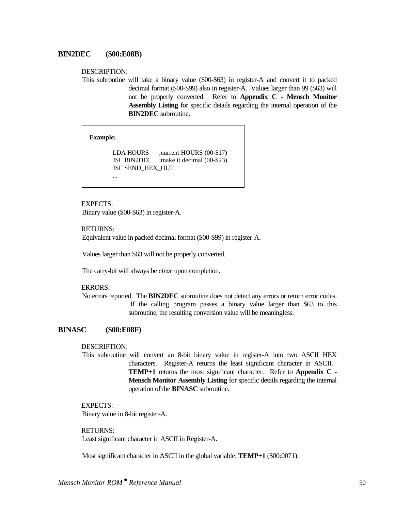# **BIN2DEC (\$00:E08B)**

#### DESCRIPTION:

This subroutine will take a binary value (\$00-\$63) in register-A and convert it to packed decimal format (\$00-\$99) also in register-A. Values larger than 99 (\$63) will not be properly converted. Refer to **Appendix C - Mensch Monitor Assembly Listing** for specific details regarding the internal operation of the **BIN2DEC** subroutine.

## **Example:**

LDA HOURS ;current HOURS (00-\$17) JSL BIN2DEC ;make it decimal (00-\$23) JSL SEND\_HEX\_OUT ...

EXPECTS: Binary value (\$00-\$63) in register-A.

RETURNS: Equivalent value in packed decimal format (\$00-\$99) in register-A.

Values larger than \$63 will not be properly converted.

The carry-bit will always be *clear* upon completion.

# ERRORS:

No errors reported. The **BIN2DEC** subroutine does not detect any errors or return error codes. If the calling program passes a binary value larger than \$63 to this subroutine, the resulting conversion value will be meaningless.

# **BINASC (\$00:E08F)**

# DESCRIPTION:

This subroutine will convert an 8-bit binary value in register-A into two ASCII HEX characters. Register-A returns the least significant character in ASCII. **TEMP+1** returns the most significant character. Refer to **Appendix C - Mensch Monitor Assembly Listing** for specific details regarding the internal operation of the **BINASC** subroutine.

# EXPECTS:

Binary value in 8-bit register-A.

RETURNS: Least significant character in ASCII in Register-A.

Most significant character in ASCII in the global variable: **TEMP+1** (\$00:0071).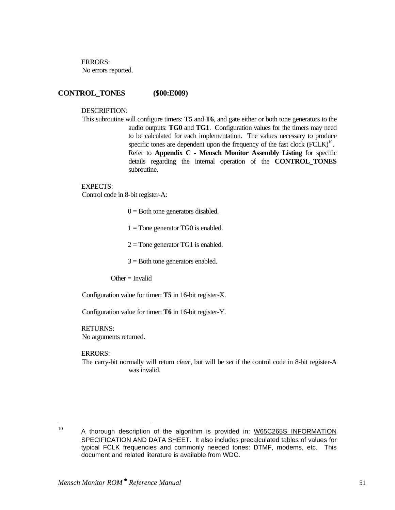ERRORS: No errors reported.

# **CONTROL\_TONES (\$00:E009)**

### DESCRIPTION:

This subroutine will configure timers: **T5** and **T6**, and gate either or both tone generators to the audio outputs: **TG0** and **TG1**. Configuration values for the timers may need to be calculated for each implementation. The values necessary to produce specific tones are dependent upon the frequency of the fast clock  $(FCLK)^{10}$ . Refer to **Appendix C - Mensch Monitor Assembly Listing** for specific details regarding the internal operation of the **CONTROL\_TONES** subroutine.

#### EXPECTS:

Control code in 8-bit register-A:

 $0 =$  Both tone generators disabled.

 $1 =$ Tone generator TG0 is enabled.

 $2 =$ Tone generator TG1 is enabled.

 $3 =$ Both tone generators enabled.

 $Other = Invalid$ 

Configuration value for timer: **T5** in 16-bit register-X.

Configuration value for timer: **T6** in 16-bit register-Y.

#### RETURNS:

No arguments returned.

### ERRORS:

The carry-bit normally will return *clear*, but will be *set* if the control code in 8-bit register-A was invalid.

 $\frac{1}{10}$  A thorough description of the algorithm is provided in: W65C265S INFORMATION SPECIFICATION AND DATA SHEET. It also includes precalculated tables of values for typical FCLK frequencies and commonly needed tones: DTMF, modems, etc. This document and related literature is available from WDC.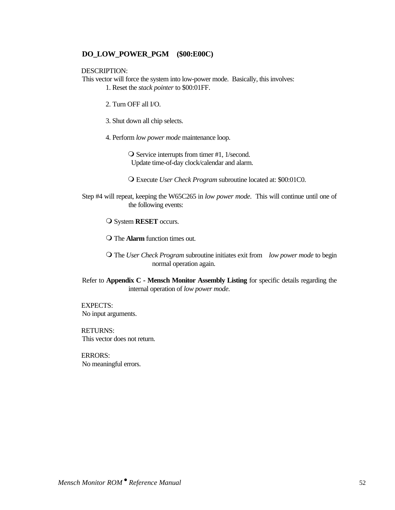# **DO\_LOW\_POWER\_PGM (\$00:E00C)**

DESCRIPTION:

This vector will force the system into low-power mode. Basically, this involves:

1. Reset the *stack pointer* to \$00:01FF.

2. Turn OFF all I/O.

3. Shut down all chip selects.

4. Perform *low power mode* maintenance loop.

 $\bigcirc$  Service interrupts from timer #1, 1/second. Update time-of-day clock/calendar and alarm.

m Execute *User Check Program* subroutine located at: \$00:01C0.

Step #4 will repeat, keeping the W65C265 in *low power mode*. This will continue until one of the following events:

**O** System **RESET** occurs.

**O** The **Alarm** function times out.

m The *User Check Program* subroutine initiates exit from *low power mode* to begin normal operation again.

Refer to **Appendix C - Mensch Monitor Assembly Listing** for specific details regarding the internal operation of *low power mode*.

EXPECTS: No input arguments.

RETURNS: This vector does not return.

ERRORS: No meaningful errors.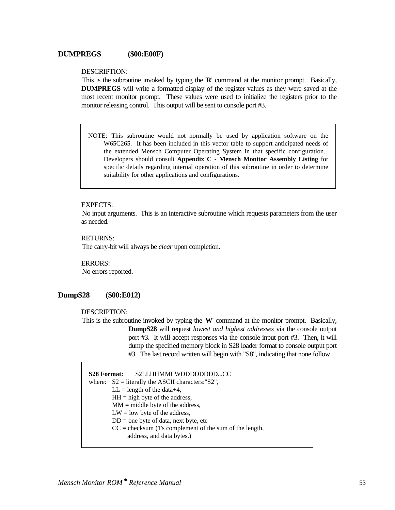# **DUMPREGS (\$00:E00F)**

#### DESCRIPTION:

This is the subroutine invoked by typing the '**R**' command at the monitor prompt. Basically, **DUMPREGS** will write a formatted display of the register values as they were saved at the most recent monitor prompt. These values were used to initialize the registers prior to the monitor releasing control. This output will be sent to console port #3.

NOTE: This subroutine would not normally be used by application software on the W65C265. It has been included in this vector table to support anticipated needs of the extended Mensch Computer Operating System in that specific configuration. Developers should consult **Appendix C - Mensch Monitor Assembly Listing** for specific details regarding internal operation of this subroutine in order to determine suitability for other applications and configurations.

## EXPECTS:

No input arguments. This is an interactive subroutine which requests parameters from the user as needed.

# RETURNS:

The carry-bit will always be *clear* upon completion.

# ERRORS:

No errors reported.

# **DumpS28 (\$00:E012)**

# DESCRIPTION:

This is the subroutine invoked by typing the '**W**' command at the monitor prompt. Basically, **DumpS28** will request *lowest and highest addresses* via the console output port #3. It will accept responses via the console input port #3. Then, it will dump the specified memory block in S28 loader format to console output port #3. The last record written will begin with "S8", indicating that none follow.

| <b>S28 Format:</b> | S2LLHHMMLWDDDDDDDDCC                                      |
|--------------------|-----------------------------------------------------------|
|                    | where: $S2 =$ literally the ASCII characters: "S2",       |
|                    | $LL =$ length of the data+4,                              |
|                    | $HH = high byte of the address,$                          |
|                    | $MM = middle byte of the address,$                        |
|                    | $LW = low$ byte of the address,                           |
|                    | $DD =$ one byte of data, next byte, etc                   |
|                    | $CC =$ checksum (1's complement of the sum of the length, |
|                    | address, and data bytes.)                                 |
|                    |                                                           |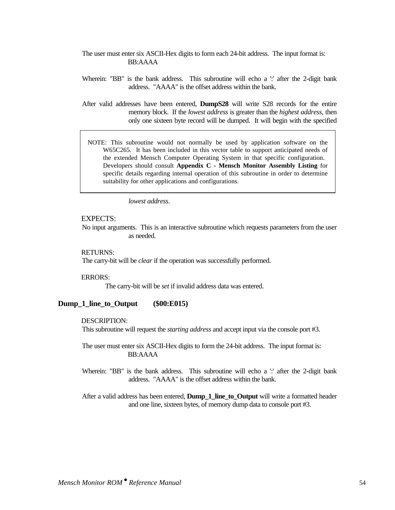- The user must enter six ASCII-Hex digits to form each 24-bit address. The input format is: BB:AAAA
- Wherein: "BB" is the bank address. This subroutine will echo a ':' after the 2-digit bank address. "AAAA" is the offset address within the bank.

After valid addresses have been entered, **DumpS28** will write S28 records for the entire memory block. If the *lowest address* is greater than the *highest address*, then only one sixteen byte record will be dumped. It will begin with the specified

NOTE: This subroutine would not normally be used by application software on the W65C265. It has been included in this vector table to support anticipated needs of the extended Mensch Computer Operating System in that specific configuration. Developers should consult **Appendix C - Mensch Monitor Assembly Listing** for specific details regarding internal operation of this subroutine in order to determine suitability for other applications and configurations.

*lowest address*.

#### EXPECTS:

No input arguments. This is an interactive subroutine which requests parameters from the user as needed.

# RETURNS:

The carry-bit will be *clear* if the operation was successfully performed.

#### ERRORS:

The carry-bit will be *set* if invalid address data was entered.

# **Dump\_1\_line\_to\_Output (\$00:E015)**

#### DESCRIPTION:

This subroutine will request the *starting address* and accept input via the console port #3.

The user must enter six ASCII-Hex digits to form the 24-bit address. The input format is: BB:AAAA

Wherein: "BB" is the bank address. This subroutine will echo a ':' after the 2-digit bank address. "AAAA" is the offset address within the bank.

After a valid address has been entered, **Dump\_1\_line\_to\_Output** will write a formatted header and one line, sixteen bytes, of memory dump data to console port #3.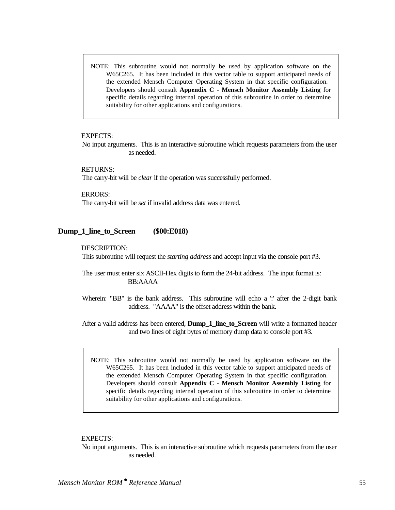NOTE: This subroutine would not normally be used by application software on the W65C265. It has been included in this vector table to support anticipated needs of the extended Mensch Computer Operating System in that specific configuration. Developers should consult **Appendix C - Mensch Monitor Assembly Listing** for specific details regarding internal operation of this subroutine in order to determine suitability for other applications and configurations.

#### EXPECTS:

No input arguments. This is an interactive subroutine which requests parameters from the user as needed.

# RETURNS:

The carry-bit will be *clear* if the operation was successfully performed.

#### ERRORS:

The carry-bit will be *set* if invalid address data was entered.

# **Dump\_1\_line\_to\_Screen (\$00:E018)**

# DESCRIPTION:

This subroutine will request the *starting address* and accept input via the console port #3.

- The user must enter six ASCII-Hex digits to form the 24-bit address. The input format is: BB:AAAA
- Wherein: "BB" is the bank address. This subroutine will echo a ':' after the 2-digit bank address. "AAAA" is the offset address within the bank.
- After a valid address has been entered, **Dump\_1\_line\_to\_Screen** will write a formatted header and two lines of eight bytes of memory dump data to console port #3.

NOTE: This subroutine would not normally be used by application software on the W65C265. It has been included in this vector table to support anticipated needs of the extended Mensch Computer Operating System in that specific configuration. Developers should consult **Appendix C - Mensch Monitor Assembly Listing** for specific details regarding internal operation of this subroutine in order to determine suitability for other applications and configurations.

#### EXPECTS:

No input arguments. This is an interactive subroutine which requests parameters from the user as needed.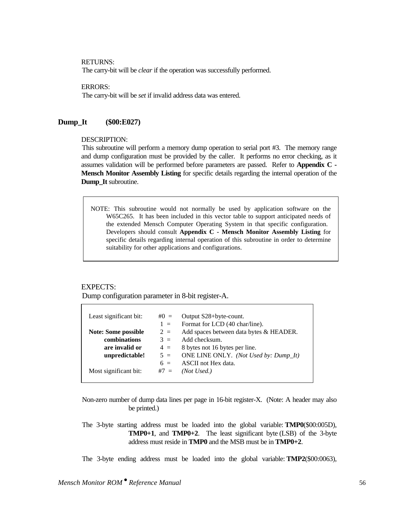#### RETURNS:

The carry-bit will be *clear* if the operation was successfully performed.

# ERRORS:

The carry-bit will be *set* if invalid address data was entered.

# **Dump\_It (\$00:E027)**

## DESCRIPTION:

This subroutine will perform a memory dump operation to serial port #3. The memory range and dump configuration must be provided by the caller. It performs no error checking, as it assumes validation will be performed before parameters are passed. Refer to **Appendix C - Mensch Monitor Assembly Listing** for specific details regarding the internal operation of the **Dump** It subroutine.

NOTE: This subroutine would not normally be used by application software on the W65C265. It has been included in this vector table to support anticipated needs of the extended Mensch Computer Operating System in that specific configuration. Developers should consult **Appendix C - Mensch Monitor Assembly Listing** for specific details regarding internal operation of this subroutine in order to determine suitability for other applications and configurations.

# EXPECTS:

Dump configuration parameter in 8-bit register-A.

| Least significant bit:     | #0 =<br>$1 =$ | Output S28+byte-count.<br>Format for LCD (40 char/line). |
|----------------------------|---------------|----------------------------------------------------------|
| <b>Note: Some possible</b> | $2 =$         | Add spaces between data bytes & HEADER.                  |
| combinations               | $3 =$         | Add checksum.                                            |
| are invalid or             | $4 =$         | 8 bytes not 16 bytes per line.                           |
| unpredictable!             | $5 =$         | ONE LINE ONLY. (Not Used by: Dump_It)                    |
|                            | $6 =$         | ASCII not Hex data.                                      |
| Most significant bit:      | $#7 =$        | (Not Used.)                                              |
|                            |               |                                                          |

Non-zero number of dump data lines per page in 16-bit register-X. (Note: A header may also be printed.)

The 3-byte starting address must be loaded into the global variable: **TMP0**(\$00:005D), **TMP0+1**, and **TMP0+2**. The least significant byte (LSB) of the 3-byte address must reside in **TMP0** and the MSB must be in **TMP0+2**.

The 3-byte ending address must be loaded into the global variable: **TMP2**(\$00:0063),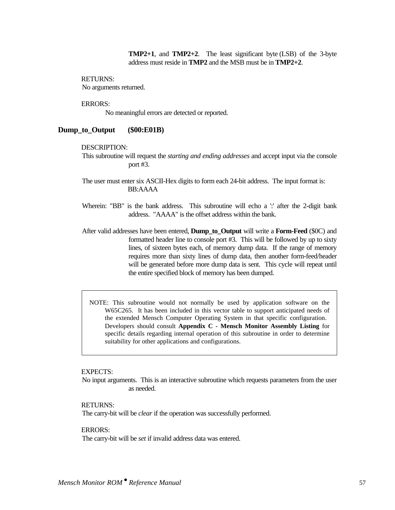**TMP2+1**, and **TMP2+2**. The least significant byte (LSB) of the 3-byte address must reside in **TMP2** and the MSB must be in **TMP2+2**.

# RETURNS:

No arguments returned.

#### ERRORS:

No meaningful errors are detected or reported.

# **Dump\_to\_Output (\$00:E01B)**

### DESCRIPTION:

- This subroutine will request the *starting and ending addresses* and accept input via the console port #3.
- The user must enter six ASCII-Hex digits to form each 24-bit address. The input format is: BB:AAAA
- Wherein: "BB" is the bank address. This subroutine will echo a ':' after the 2-digit bank address. "AAAA" is the offset address within the bank.
- After valid addresses have been entered, **Dump\_to\_Output** will write a **Form-Feed** (\$0C) and formatted header line to console port #3. This will be followed by up to sixty lines, of sixteen bytes each, of memory dump data. If the range of memory requires more than sixty lines of dump data, then another form-feed/header will be generated before more dump data is sent. This cycle will repeat until the entire specified block of memory has been dumped.
	- NOTE: This subroutine would not normally be used by application software on the W65C265. It has been included in this vector table to support anticipated needs of the extended Mensch Computer Operating System in that specific configuration. Developers should consult **Appendix C - Mensch Monitor Assembly Listing** for specific details regarding internal operation of this subroutine in order to determine suitability for other applications and configurations.

# EXPECTS:

No input arguments. This is an interactive subroutine which requests parameters from the user as needed.

# RETURNS:

The carry-bit will be *clear* if the operation was successfully performed.

#### ERRORS:

The carry-bit will be *set* if invalid address data was entered.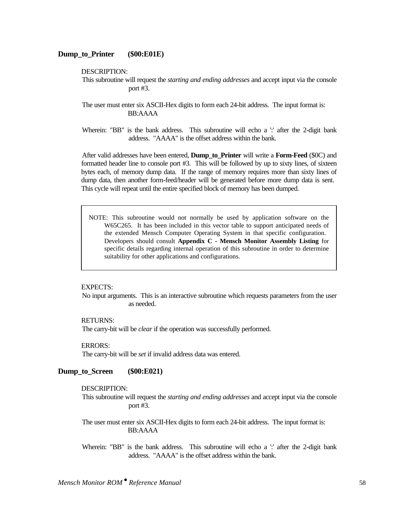# **Dump\_to\_Printer (\$00:E01E)**

#### DESCRIPTION:

- This subroutine will request the *starting and ending addresses* and accept input via the console port #3.
- The user must enter six ASCII-Hex digits to form each 24-bit address. The input format is: BB:AAAA
- Wherein: "BB" is the bank address. This subroutine will echo a ':' after the 2-digit bank address. "AAAA" is the offset address within the bank.

After valid addresses have been entered, **Dump\_to\_Printer** will write a **Form-Feed** (\$0C) and formatted header line to console port #3. This will be followed by up to sixty lines, of sixteen bytes each, of memory dump data. If the range of memory requires more than sixty lines of dump data, then another form-feed/header will be generated before more dump data is sent. This cycle will repeat until the entire specified block of memory has been dumped.

NOTE: This subroutine would not normally be used by application software on the W65C265. It has been included in this vector table to support anticipated needs of the extended Mensch Computer Operating System in that specific configuration. Developers should consult **Appendix C - Mensch Monitor Assembly Listing** for specific details regarding internal operation of this subroutine in order to determine suitability for other applications and configurations.

#### EXPECTS:

No input arguments. This is an interactive subroutine which requests parameters from the user as needed.

#### RETURNS:

The carry-bit will be *clear* if the operation was successfully performed.

#### ERRORS:

The carry-bit will be *set* if invalid address data was entered.

# **Dump\_to\_Screen (\$00:E021)**

## DESCRIPTION:

- This subroutine will request the *starting and ending addresses* and accept input via the console port #3.
- The user must enter six ASCII-Hex digits to form each 24-bit address. The input format is: BB:AAAA
- Wherein: "BB" is the bank address. This subroutine will echo a ':' after the 2-digit bank address. "AAAA" is the offset address within the bank.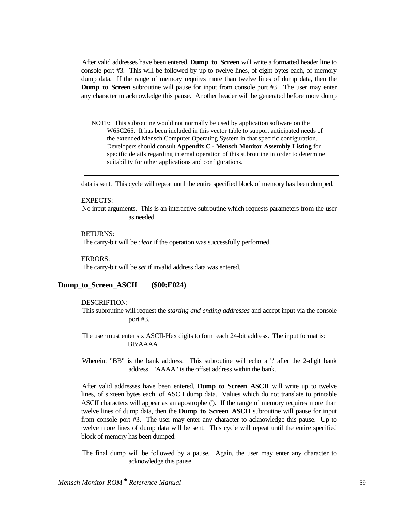After valid addresses have been entered, **Dump\_to\_Screen** will write a formatted header line to console port #3. This will be followed by up to twelve lines, of eight bytes each, of memory dump data. If the range of memory requires more than twelve lines of dump data, then the **Dump\_to\_Screen** subroutine will pause for input from console port #3. The user may enter any character to acknowledge this pause. Another header will be generated before more dump

NOTE: This subroutine would not normally be used by application software on the W65C265. It has been included in this vector table to support anticipated needs of the extended Mensch Computer Operating System in that specific configuration. Developers should consult **Appendix C - Mensch Monitor Assembly Listing** for specific details regarding internal operation of this subroutine in order to determine suitability for other applications and configurations.

data is sent. This cycle will repeat until the entire specified block of memory has been dumped.

#### EXPECTS:

No input arguments. This is an interactive subroutine which requests parameters from the user as needed.

# RETURNS:

The carry-bit will be *clear* if the operation was successfully performed.

ERRORS:

The carry-bit will be *set* if invalid address data was entered.

## **Dump\_to\_Screen\_ASCII (\$00:E024)**

#### DESCRIPTION:

This subroutine will request the *starting and ending addresses* and accept input via the console port #3.

The user must enter six ASCII-Hex digits to form each 24-bit address. The input format is: BB:AAAA

Wherein: "BB" is the bank address. This subroutine will echo a ':' after the 2-digit bank address. "AAAA" is the offset address within the bank.

After valid addresses have been entered, **Dump\_to\_Screen\_ASCII** will write up to twelve lines, of sixteen bytes each, of ASCII dump data. Values which do not translate to printable ASCII characters will appear as an apostrophe ('). If the range of memory requires more than twelve lines of dump data, then the **Dump\_to\_Screen\_ASCII** subroutine will pause for input from console port #3. The user may enter any character to acknowledge this pause. Up to twelve more lines of dump data will be sent. This cycle will repeat until the entire specified block of memory has been dumped.

The final dump will be followed by a pause. Again, the user may enter any character to acknowledge this pause.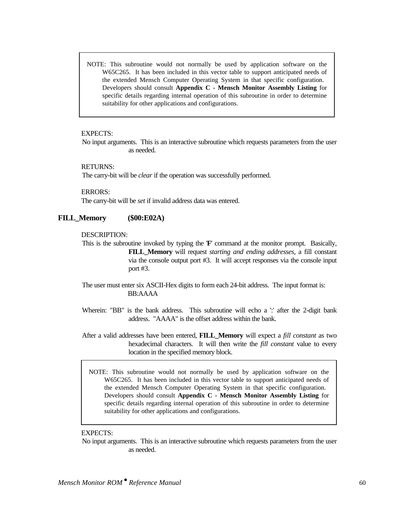NOTE: This subroutine would not normally be used by application software on the W65C265. It has been included in this vector table to support anticipated needs of the extended Mensch Computer Operating System in that specific configuration. Developers should consult **Appendix C - Mensch Monitor Assembly Listing** for specific details regarding internal operation of this subroutine in order to determine suitability for other applications and configurations.

### EXPECTS:

No input arguments. This is an interactive subroutine which requests parameters from the user as needed.

#### RETURNS:

The carry-bit will be *clear* if the operation was successfully performed.

ERRORS:

The carry-bit will be *set* if invalid address data was entered.

# **FILL\_Memory (\$00:E02A)**

DESCRIPTION:

This is the subroutine invoked by typing the '**F**' command at the monitor prompt. Basically, **FILL\_Memory** will request *starting and ending addresses*, a fill constant via the console output port #3. It will accept responses via the console input port #3.

- The user must enter six ASCII-Hex digits to form each 24-bit address. The input format is: BB:AAAA
- Wherein: "BB" is the bank address. This subroutine will echo a ':' after the 2-digit bank address. "AAAA" is the offset address within the bank.
- After a valid addresses have been entered, **FILL\_Memory** will expect a *fill constant* as two hexadecimal characters. It will then write the *fill constant* value to every location in the specified memory block.

NOTE: This subroutine would not normally be used by application software on the W65C265. It has been included in this vector table to support anticipated needs of the extended Mensch Computer Operating System in that specific configuration. Developers should consult **Appendix C - Mensch Monitor Assembly Listing** for specific details regarding internal operation of this subroutine in order to determine suitability for other applications and configurations.

### EXPECTS:

No input arguments. This is an interactive subroutine which requests parameters from the user as needed.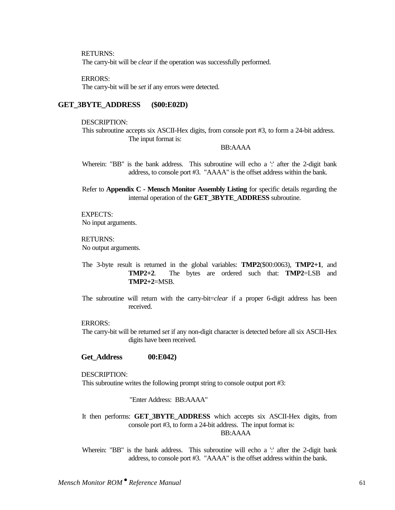RETURNS: The carry-bit will be *clear* if the operation was successfully performed.

ERRORS:

The carry-bit will be *set* if any errors were detected.

# **GET\_3BYTE\_ADDRESS (\$00:E02D)**

#### DESCRIPTION:

This subroutine accepts six ASCII-Hex digits, from console port #3, to form a 24-bit address. The input format is:

# BB:AAAA

Wherein: "BB" is the bank address. This subroutine will echo a ':' after the 2-digit bank address, to console port #3. "AAAA" is the offset address within the bank.

Refer to **Appendix C - Mensch Monitor Assembly Listing** for specific details regarding the internal operation of the **GET\_3BYTE\_ADDRESS** subroutine.

EXPECTS: No input arguments.

# RETURNS: No output arguments.

# The 3-byte result is returned in the global variables: **TMP2**(\$00:0063), **TMP2+1**, and **TMP2+2**. The bytes are ordered such that: **TMP2**=LSB and **TMP2+2**=MSB.

The subroutine will return with the carry-bit=*clear* if a proper 6-digit address has been received.

# ERRORS:

The carry-bit will be returned *set* if any non-digit character is detected before all six ASCII-Hex digits have been received.

**Get\_Address 00:E042)**

# DESCRIPTION:

This subroutine writes the following prompt string to console output port #3:

"Enter Address: BB:AAAA"

It then performs: **GET\_3BYTE\_ADDRESS** which accepts six ASCII-Hex digits, from console port #3, to form a 24-bit address. The input format is: BB:AAAA

Wherein: "BB" is the bank address. This subroutine will echo a ':' after the 2-digit bank address, to console port #3. "AAAA" is the offset address within the bank.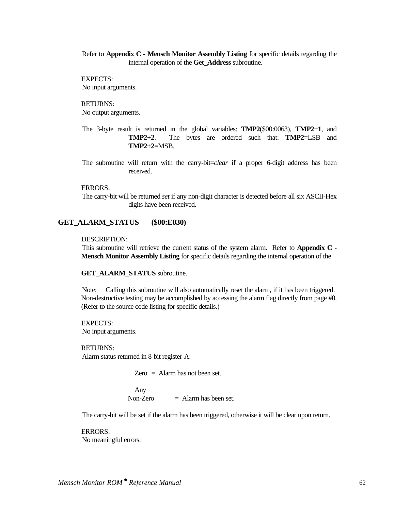Refer to **Appendix C - Mensch Monitor Assembly Listing** for specific details regarding the internal operation of the **Get\_Address** subroutine.

EXPECTS: No input arguments.

RETURNS: No output arguments.

The 3-byte result is returned in the global variables: **TMP2**(\$00:0063), **TMP2+1**, and **TMP2+2**. The bytes are ordered such that: **TMP2**=LSB and **TMP2+2**=MSB.

The subroutine will return with the carry-bit=*clear* if a proper 6-digit address has been received.

## ERRORS:

The carry-bit will be returned *set* if any non-digit character is detected before all six ASCII-Hex digits have been received.

# **GET\_ALARM\_STATUS (\$00:E030)**

## DESCRIPTION:

This subroutine will retrieve the current status of the system alarm. Refer to **Appendix C - Mensch Monitor Assembly Listing** for specific details regarding the internal operation of the

**GET\_ALARM\_STATUS** subroutine.

Note: Calling this subroutine will also automatically reset the alarm, if it has been triggered. Non-destructive testing may be accomplished by accessing the alarm flag directly from page #0. (Refer to the source code listing for specific details.)

EXPECTS: No input arguments.

RETURNS:

Alarm status returned in 8-bit register-A:

Zero  $=$  Alarm has not been set.

 Any  $Non-Zero$  = Alarm has been set.

The carry-bit will be set if the alarm has been triggered, otherwise it will be clear upon return.

ERRORS: No meaningful errors.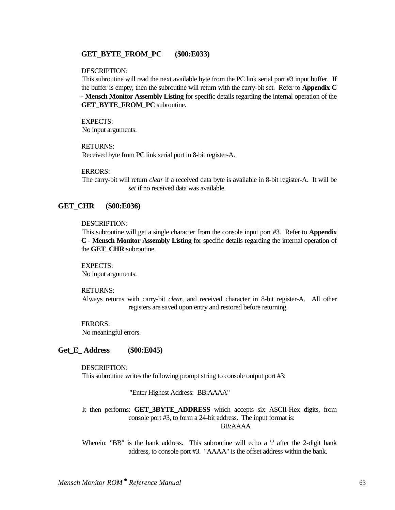# **GET\_BYTE\_FROM\_PC (\$00:E033)**

# DESCRIPTION:

This subroutine will read the next available byte from the PC link serial port #3 input buffer. If the buffer is empty, then the subroutine will return with the carry-bit set. Refer to **Appendix C - Mensch Monitor Assembly Listing** for specific details regarding the internal operation of the **GET BYTE FROM PC** subroutine.

# EXPECTS:

No input arguments.

#### RETURNS:

Received byte from PC link serial port in 8-bit register-A.

#### ERRORS:

The carry-bit will return *clear* if a received data byte is available in 8-bit register-A. It will be *set* if no received data was available.

# **GET\_CHR (\$00:E036)**

# DESCRIPTION:

This subroutine will get a single character from the console input port #3. Refer to **Appendix C - Mensch Monitor Assembly Listing** for specific details regarding the internal operation of the **GET\_CHR** subroutine.

#### EXPECTS:

No input arguments.

# RETURNS:

Always returns with carry-bit *clear*, and received character in 8-bit register-A. All other registers are saved upon entry and restored before returning.

#### ERRORS:

No meaningful errors.

# **Get\_E\_ Address (\$00:E045)**

#### DESCRIPTION:

This subroutine writes the following prompt string to console output port #3:

# "Enter Highest Address: BB:AAAA"

It then performs: **GET\_3BYTE\_ADDRESS** which accepts six ASCII-Hex digits, from console port #3, to form a 24-bit address. The input format is: BB:AAAA

Wherein: "BB" is the bank address. This subroutine will echo a ':' after the 2-digit bank address, to console port #3. "AAAA" is the offset address within the bank.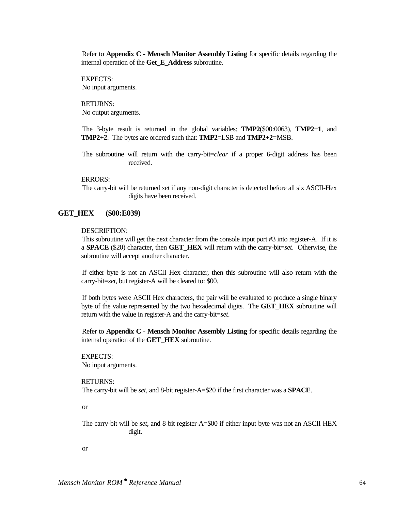Refer to **Appendix C - Mensch Monitor Assembly Listing** for specific details regarding the internal operation of the **Get\_E\_Address** subroutine.

EXPECTS: No input arguments.

RETURNS: No output arguments.

The 3-byte result is returned in the global variables: **TMP2**(\$00:0063), **TMP2+1**, and **TMP2+2**. The bytes are ordered such that: **TMP2**=LSB and **TMP2+2**=MSB.

The subroutine will return with the carry-bit=*clear* if a proper 6-digit address has been received.

# ERRORS:

The carry-bit will be returned *set* if any non-digit character is detected before all six ASCII-Hex digits have been received.

# **GET\_HEX (\$00:E039)**

#### DESCRIPTION:

This subroutine will get the next character from the console input port #3 into register-A. If it is a **SPACE** (\$20) character, then **GET\_HEX** will return with the carry-bit=*set*. Otherwise, the subroutine will accept another character.

If either byte is not an ASCII Hex character, then this subroutine will also return with the carry-bit=*set*, but register-A will be cleared to: \$00.

If both bytes were ASCII Hex characters, the pair will be evaluated to produce a single binary byte of the value represented by the two hexadecimal digits. The **GET\_HEX** subroutine will return with the value in register-A and the carry-bit=*set*.

Refer to **Appendix C - Mensch Monitor Assembly Listing** for specific details regarding the internal operation of the **GET\_HEX** subroutine.

# EXPECTS:

No input arguments.

# RETURNS:

The carry-bit will be *set*, and 8-bit register-A=\$20 if the first character was a **SPACE**.

or

The carry-bit will be *set*, and 8-bit register-A=\$00 if either input byte was not an ASCII HEX digit.

or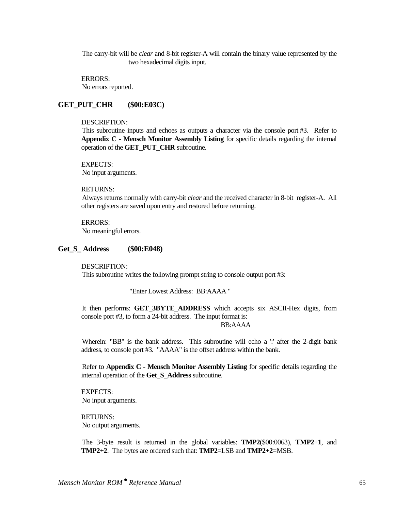The carry-bit will be *clear* and 8-bit register-A will contain the binary value represented by the two hexadecimal digits input.

ERRORS: No errors reported.

# **GET\_PUT\_CHR (\$00:E03C)**

### DESCRIPTION:

This subroutine inputs and echoes as outputs a character via the console port #3. Refer to **Appendix C - Mensch Monitor Assembly Listing** for specific details regarding the internal operation of the **GET\_PUT\_CHR** subroutine.

EXPECTS:

No input arguments.

#### RETURNS:

Always returns normally with carry-bit *clear* and the received character in 8-bit register-A. All other registers are saved upon entry and restored before returning.

### ERRORS:

No meaningful errors.

# **Get\_S\_ Address (\$00:E048)**

DESCRIPTION: This subroutine writes the following prompt string to console output port #3:

### "Enter Lowest Address: BB:AAAA "

It then performs: **GET\_3BYTE\_ADDRESS** which accepts six ASCII-Hex digits, from console port #3, to form a 24-bit address. The input format is:

# BB:AAAA

Wherein: "BB" is the bank address. This subroutine will echo a ':' after the 2-digit bank address, to console port #3. "AAAA" is the offset address within the bank.

Refer to **Appendix C - Mensch Monitor Assembly Listing** for specific details regarding the internal operation of the **Get\_S\_Address** subroutine.

EXPECTS: No input arguments.

RETURNS: No output arguments.

The 3-byte result is returned in the global variables: **TMP2**(\$00:0063), **TMP2+1**, and **TMP2+2**. The bytes are ordered such that: **TMP2**=LSB and **TMP2+2**=MSB.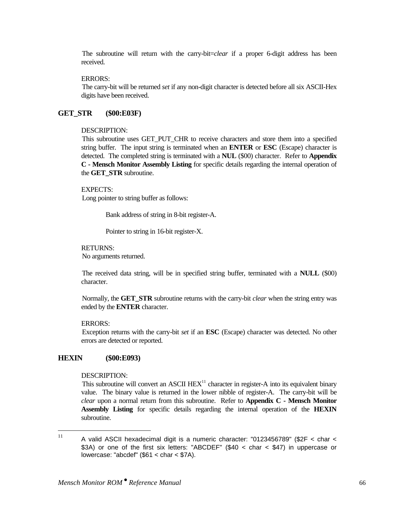The subroutine will return with the carry-bit=*clear* if a proper 6-digit address has been received.

# ERRORS:

The carry-bit will be returned *set* if any non-digit character is detected before all six ASCII-Hex digits have been received.

# **GET\_STR (\$00:E03F)**

#### DESCRIPTION:

This subroutine uses GET\_PUT\_CHR to receive characters and store them into a specified string buffer. The input string is terminated when an **ENTER** or **ESC** (Escape) character is detected. The completed string is terminated with a **NUL** (\$00) character. Refer to **Appendix C - Mensch Monitor Assembly Listing** for specific details regarding the internal operation of the **GET\_STR** subroutine.

#### EXPECTS:

Long pointer to string buffer as follows:

Bank address of string in 8-bit register-A.

Pointer to string in 16-bit register-X.

# RETURNS:

No arguments returned.

The received data string, will be in specified string buffer, terminated with a **NULL** (\$00) character.

Normally, the **GET\_STR** subroutine returns with the carry-bit *clear* when the string entry was ended by the **ENTER** character.

# ERRORS:

Exception returns with the carry-bit *set* if an **ESC** (Escape) character was detected. No other errors are detected or reported.

# **HEXIN (\$00:E093)**

#### DESCRIPTION:

This subroutine will convert an ASCII  $\text{HEX}^{11}$  character in register-A into its equivalent binary value. The binary value is returned in the lower nibble of register-A. The carry-bit will be *clear* upon a normal return from this subroutine. Refer to **Appendix C - Mensch Monitor Assembly Listing** for specific details regarding the internal operation of the **HEXIN** subroutine.

<sup>|&</sup>lt;br>|<br>| 1 A valid ASCII hexadecimal digit is a numeric character: "0123456789" (\$2F < char < \$3A) or one of the first six letters: "ABCDEF" (\$40 < char < \$47) in uppercase or lowercase: "abcdef" (\$61 < char < \$7A).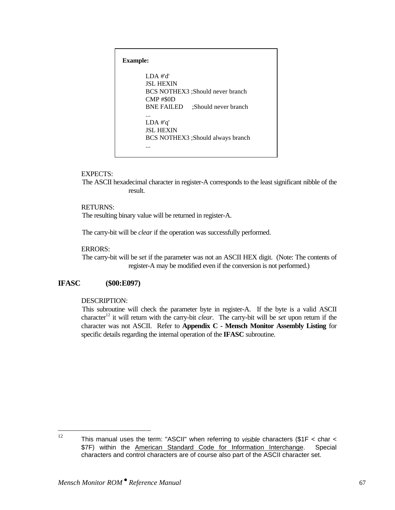## **Example:**

LDA #'d' JSL HEXIN BCS NOTHEX3 ;Should never branch CMP #\$0D BNE FAILED ;Should never branch ... LDA #'q' JSL HEXIN BCS NOTHEX3 ;Should always branch ...

# EXPECTS:

The ASCII hexadecimal character in register-A corresponds to the least significant nibble of the result.

# RETURNS:

The resulting binary value will be returned in register-A.

The carry-bit will be *clear* if the operation was successfully performed.

# ERRORS:

The carry-bit will be *set* if the parameter was not an ASCII HEX digit. (Note: The contents of register-A may be modified even if the conversion is not performed.)

# **IFASC (\$00:E097)**

# DESCRIPTION:

This subroutine will check the parameter byte in register-A. If the byte is a valid ASCII character<sup>12</sup> it will return with the carry-bit *clear*. The carry-bit will be *set* upon return if the character was not ASCII. Refer to **Appendix C - Mensch Monitor Assembly Listing** for specific details regarding the internal operation of the **IFASC** subroutine.

 $\frac{1}{12}$  This manual uses the term: "ASCII" when referring to *visible* characters (\$1F < char < \$7F) within the American Standard Code for Information Interchange. Special characters and control characters are of course also part of the ASCII character set.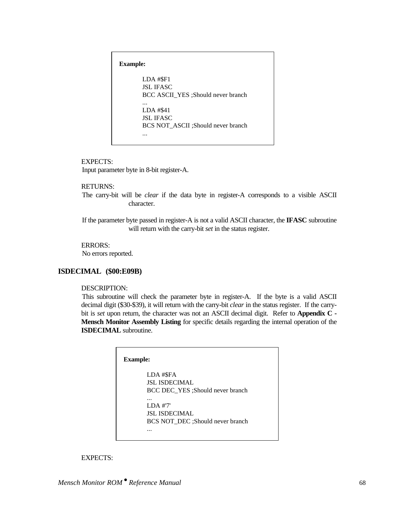| <b>Example:</b> |                                     |  |
|-----------------|-------------------------------------|--|
|                 | $LDA$ # $$F1$                       |  |
|                 | <b>JSL IFASC</b>                    |  |
|                 | BCC ASCII YES : Should never branch |  |
|                 |                                     |  |
|                 | LDA #\$41                           |  |
|                 | <b>JSL IFASC</b>                    |  |
|                 | BCS NOT ASCII :Should never branch  |  |
|                 | .                                   |  |

EXPECTS: Input parameter byte in 8-bit register-A.

# RETURNS:

The carry-bit will be *clear* if the data byte in register-A corresponds to a visible ASCII character.

If the parameter byte passed in register-A is not a valid ASCII character, the **IFASC** subroutine will return with the carry-bit *set* in the status register.

# ERRORS:

No errors reported.

# **ISDECIMAL (\$00:E09B)**

# DESCRIPTION:

This subroutine will check the parameter byte in register-A. If the byte is a valid ASCII decimal digit (\$30-\$39), it will return with the carry-bit *clear* in the status register. If the carrybit is *set* upon return, the character was not an ASCII decimal digit. Refer to **Appendix C - Mensch Monitor Assembly Listing** for specific details regarding the internal operation of the **ISDECIMAL** subroutine.

| <b>Example:</b> |                                  |  |
|-----------------|----------------------------------|--|
|                 | LDA #\$FA                        |  |
|                 | ISL ISDECIMAL.                   |  |
|                 | BCC DEC_YES ;Should never branch |  |
|                 |                                  |  |
|                 | LDA #7'                          |  |
|                 | <b>JSL ISDECIMAL</b>             |  |
|                 | BCS NOT DEC :Should never branch |  |
|                 |                                  |  |

# EXPECTS: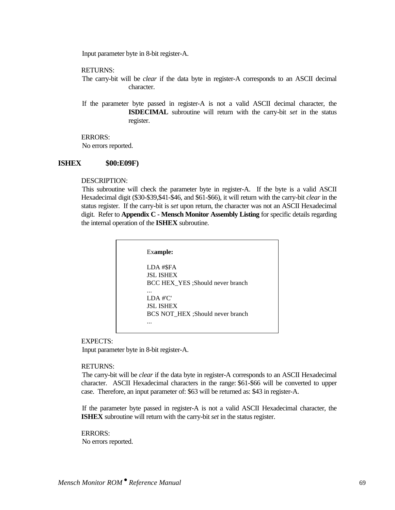Input parameter byte in 8-bit register-A.

## RETURNS:

The carry-bit will be *clear* if the data byte in register-A corresponds to an ASCII decimal character.

If the parameter byte passed in register-A is not a valid ASCII decimal character, the **ISDECIMAL** subroutine will return with the carry-bit *set* in the status register.

### ERRORS:

No errors reported.

# **ISHEX \$00:E09F)**

# DESCRIPTION:

This subroutine will check the parameter byte in register-A. If the byte is a valid ASCII Hexadecimal digit (\$30-\$39,\$41-\$46, and \$61-\$66), it will return with the carry-bit *clear* in the status register. If the carry-bit is *set* upon return, the character was not an ASCII Hexadecimal digit. Refer to **Appendix C - Mensch Monitor Assembly Listing** for specific details regarding the internal operation of the **ISHEX** subroutine.

| Example:                          |
|-----------------------------------|
| LDA #\$FA                         |
| <b>ISL ISHEX</b>                  |
| BCC HEX YES ; Should never branch |
| <br>$LDA$ #' $C$ '                |
|                                   |
| <b>JSL ISHEX</b>                  |
| BCS NOT HEX ; Should never branch |
|                                   |

# EXPECTS:

Input parameter byte in 8-bit register-A.

# RETURNS:

The carry-bit will be *clear* if the data byte in register-A corresponds to an ASCII Hexadecimal character. ASCII Hexadecimal characters in the range: \$61-\$66 will be converted to upper case. Therefore, an input parameter of: \$63 will be returned as: \$43 in register-A.

If the parameter byte passed in register-A is not a valid ASCII Hexadecimal character, the **ISHEX** subroutine will return with the carry-bit *set* in the status register.

# ERRORS: No errors reported.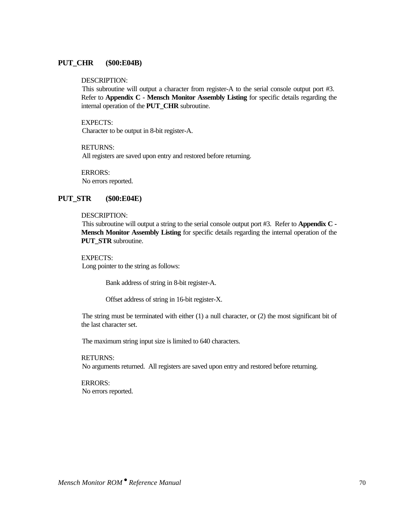# **PUT\_CHR (\$00:E04B)**

# DESCRIPTION:

This subroutine will output a character from register-A to the serial console output port #3. Refer to **Appendix C - Mensch Monitor Assembly Listing** for specific details regarding the internal operation of the **PUT\_CHR** subroutine.

### EXPECTS:

Character to be output in 8-bit register-A.

### RETURNS:

All registers are saved upon entry and restored before returning.

## ERRORS:

No errors reported.

# **PUT\_STR (\$00:E04E)**

# DESCRIPTION:

This subroutine will output a string to the serial console output port #3. Refer to **Appendix C - Mensch Monitor Assembly Listing** for specific details regarding the internal operation of the **PUT\_STR** subroutine.

EXPECTS: Long pointer to the string as follows:

Bank address of string in 8-bit register-A.

Offset address of string in 16-bit register-X.

The string must be terminated with either (1) a null character, or (2) the most significant bit of the last character set.

The maximum string input size is limited to 640 characters.

# RETURNS:

No arguments returned. All registers are saved upon entry and restored before returning.

# ERRORS: No errors reported.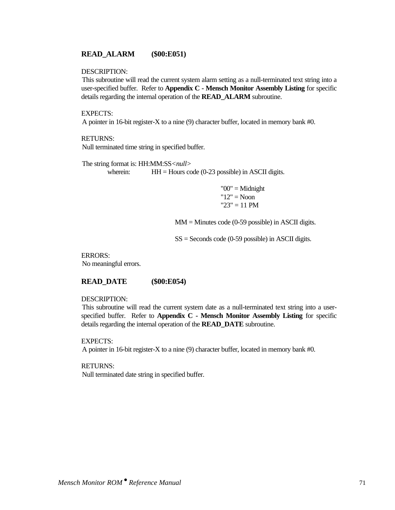# **READ\_ALARM (\$00:E051)**

# DESCRIPTION:

This subroutine will read the current system alarm setting as a null-terminated text string into a user-specified buffer. Refer to **Appendix C - Mensch Monitor Assembly Listing** for specific details regarding the internal operation of the **READ\_ALARM** subroutine.

# EXPECTS:

A pointer in 16-bit register-X to a nine (9) character buffer, located in memory bank #0.

### RETURNS:

Null terminated time string in specified buffer.

The string format is: HH:MM:SS*<null>* wherein:  $HH =$  Hours code (0-23 possible) in ASCII digits.

> $"00" = Midnight$ "12" = Noon "23" = 11 PM

 $MM =$  Minutes code (0-59 possible) in ASCII digits.

 $SS =$  Seconds code (0-59 possible) in ASCII digits.

ERRORS: No meaningful errors.

# **READ\_DATE (\$00:E054)**

#### DESCRIPTION:

This subroutine will read the current system date as a null-terminated text string into a userspecified buffer. Refer to **Appendix C - Mensch Monitor Assembly Listing** for specific details regarding the internal operation of the **READ\_DATE** subroutine.

# EXPECTS:

A pointer in 16-bit register-X to a nine (9) character buffer, located in memory bank #0.

#### RETURNS:

Null terminated date string in specified buffer.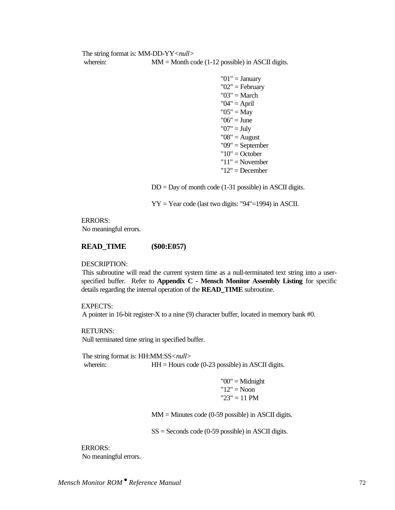The string format is: MM-DD-YY*<null>* wherein:  $MM = Month code (1-12 possible) in ASCII digits.$ 

> $"01" = January$ "02" = February "03" = March  $"04" = April$ "05" = May "06" = June "07" = July  $"08" = August$ "09" = September "10" = October  $"11" = November$ "12" = December

 $DD = Day$  of month code (1-31 possible) in ASCII digits.

 $YY = Year code$  (last two digits: "94"=1994) in ASCII.

# ERRORS:

No meaningful errors.

### **READ\_TIME (\$00:E057)**

# DESCRIPTION:

This subroutine will read the current system time as a null-terminated text string into a userspecified buffer. Refer to **Appendix C - Mensch Monitor Assembly Listing** for specific details regarding the internal operation of the **READ\_TIME** subroutine.

#### EXPECTS:

A pointer in 16-bit register-X to a nine (9) character buffer, located in memory bank #0.

RETURNS: Null terminated time string in specified buffer.

The string format is: HH:MM:SS*<null>* wherein:  $HH =$  Hours code (0-23 possible) in ASCII digits.

```
"00" = Midnight"12" = Noon"23" = 11 PM
```
 $MM =$  Minutes code (0-59 possible) in ASCII digits.

 $SS =$  Seconds code (0-59 possible) in ASCII digits.

ERRORS: No meaningful errors.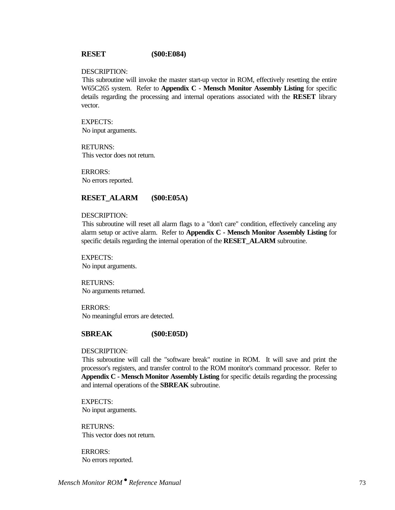### **RESET (\$00:E084)**

#### DESCRIPTION:

This subroutine will invoke the master start-up vector in ROM, effectively resetting the entire W65C265 system. Refer to **Appendix C - Mensch Monitor Assembly Listing** for specific details regarding the processing and internal operations associated with the **RESET** library vector.

EXPECTS: No input arguments.

RETURNS: This vector does not return.

ERRORS: No errors reported.

### **RESET\_ALARM (\$00:E05A)**

#### DESCRIPTION:

This subroutine will reset all alarm flags to a "don't care" condition, effectively canceling any alarm setup or active alarm. Refer to **Appendix C - Mensch Monitor Assembly Listing** for specific details regarding the internal operation of the **RESET\_ALARM** subroutine.

EXPECTS: No input arguments.

RETURNS: No arguments returned.

ERRORS: No meaningful errors are detected.

### **SBREAK (\$00:E05D)**

#### DESCRIPTION:

This subroutine will call the "software break" routine in ROM. It will save and print the processor's registers, and transfer control to the ROM monitor's command processor. Refer to **Appendix C - Mensch Monitor Assembly Listing** for specific details regarding the processing and internal operations of the **SBREAK** subroutine.

EXPECTS: No input arguments.

RETURNS: This vector does not return.

ERRORS: No errors reported.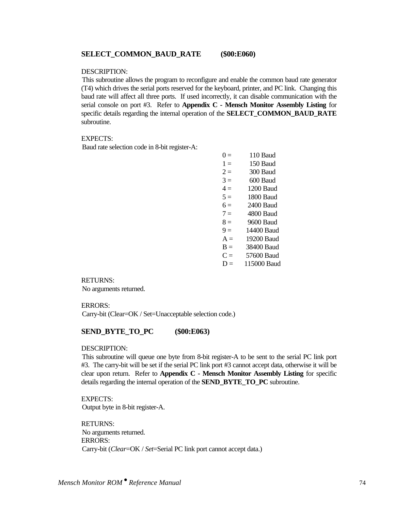#### **SELECT\_COMMON\_BAUD\_RATE (\$00:E060)**

#### DESCRIPTION:

This subroutine allows the program to reconfigure and enable the common baud rate generator (T4) which drives the serial ports reserved for the keyboard, printer, and PC link. Changing this baud rate will affect all three ports. If used incorrectly, it can disable communication with the serial console on port #3. Refer to **Appendix C - Mensch Monitor Assembly Listing** for specific details regarding the internal operation of the **SELECT\_COMMON\_BAUD\_RATE** subroutine.

#### EXPECTS:

Baud rate selection code in 8-bit register-A:

| 110 Baud         |
|------------------|
| 150 Baud         |
| 300 Baud         |
| 600 Baud         |
| 1200 Baud        |
| 1800 Baud        |
| 2400 Baud        |
| <b>4800 Baud</b> |
| 9600 Baud        |
| 14400 Baud       |
| 19200 Baud       |
| 38400 Baud       |
| 57600 Baud       |
| 115000 Baud      |
|                  |

#### RETURNS:

No arguments returned.

#### ERRORS:

Carry-bit (Clear=OK / Set=Unacceptable selection code.)

### **SEND\_BYTE\_TO\_PC (\$00:E063)**

#### DESCRIPTION:

This subroutine will queue one byte from 8-bit register-A to be sent to the serial PC link port #3. The carry-bit will be set if the serial PC link port #3 cannot accept data, otherwise it will be clear upon return. Refer to **Appendix C - Mensch Monitor Assembly Listing** for specific details regarding the internal operation of the **SEND\_BYTE\_TO\_PC** subroutine.

EXPECTS: Output byte in 8-bit register-A.

RETURNS: No arguments returned. ERRORS: Carry-bit (*Clear*=OK / *Set*=Serial PC link port cannot accept data.)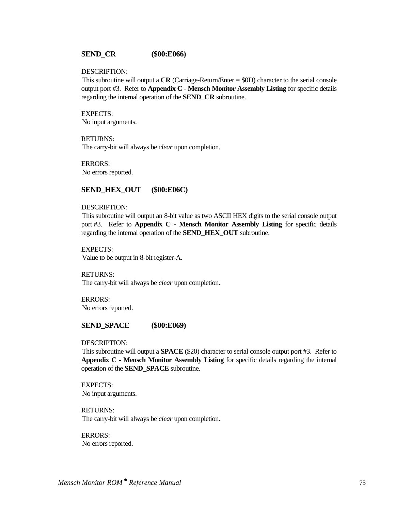### **SEND\_CR (\$00:E066)**

#### DESCRIPTION:

This subroutine will output a **CR** (Carriage-Return/Enter = \$0D) character to the serial console output port #3. Refer to **Appendix C - Mensch Monitor Assembly Listing** for specific details regarding the internal operation of the **SEND\_CR** subroutine.

EXPECTS: No input arguments.

RETURNS: The carry-bit will always be *clear* upon completion.

ERRORS: No errors reported.

### **SEND\_HEX\_OUT (\$00:E06C)**

#### DESCRIPTION:

This subroutine will output an 8-bit value as two ASCII HEX digits to the serial console output port #3. Refer to **Appendix C - Mensch Monitor Assembly Listing** for specific details regarding the internal operation of the **SEND\_HEX\_OUT** subroutine.

EXPECTS: Value to be output in 8-bit register-A.

RETURNS: The carry-bit will always be *clear* upon completion.

ERRORS: No errors reported.

#### **SEND\_SPACE (\$00:E069)**

#### DESCRIPTION:

This subroutine will output a **SPACE** (\$20) character to serial console output port #3. Refer to **Appendix C - Mensch Monitor Assembly Listing** for specific details regarding the internal operation of the **SEND\_SPACE** subroutine.

EXPECTS: No input arguments.

RETURNS: The carry-bit will always be *clear* upon completion.

ERRORS: No errors reported.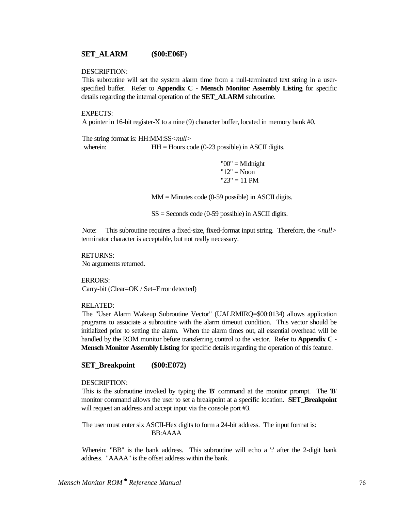#### **SET\_ALARM (\$00:E06F)**

#### DESCRIPTION:

This subroutine will set the system alarm time from a null-terminated text string in a userspecified buffer. Refer to **Appendix C - Mensch Monitor Assembly Listing** for specific details regarding the internal operation of the **SET\_ALARM** subroutine.

#### EXPECTS:

A pointer in 16-bit register-X to a nine (9) character buffer, located in memory bank #0.

The string format is: HH:MM:SS*<null>* wherein:  $HH =$  Hours code (0-23 possible) in ASCII digits.

> $"00" = Midnight$  $"12" = Noon$ "23" = 11 PM

 $MM =$  Minutes code (0-59 possible) in ASCII digits.

 $SS =$  Seconds code (0-59 possible) in ASCII digits.

Note: This subroutine requires a fixed-size, fixed-format input string. Therefore, the *<null>* terminator character is acceptable, but not really necessary.

RETURNS: No arguments returned.

### ERRORS:

Carry-bit (Clear=OK / Set=Error detected)

### RELATED:

The "User Alarm Wakeup Subroutine Vector" (UALRMIRQ=\$00:0134) allows application programs to associate a subroutine with the alarm timeout condition. This vector should be initialized prior to setting the alarm. When the alarm times out, all essential overhead will be handled by the ROM monitor before transferring control to the vector. Refer to **Appendix C - Mensch Monitor Assembly Listing** for specific details regarding the operation of this feature.

#### **SET\_Breakpoint (\$00:E072)**

#### DESCRIPTION:

This is the subroutine invoked by typing the '**B**' command at the monitor prompt. The '**B**' monitor command allows the user to set a breakpoint at a specific location. **SET\_Breakpoint** will request an address and accept input via the console port #3.

The user must enter six ASCII-Hex digits to form a 24-bit address. The input format is: BB:AAAA

Wherein: "BB" is the bank address. This subroutine will echo a ':' after the 2-digit bank address. "AAAA" is the offset address within the bank.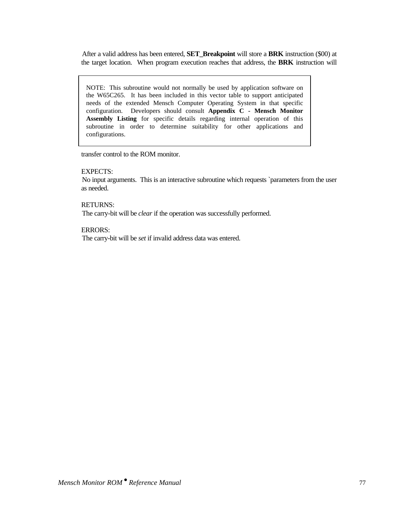After a valid address has been entered, **SET\_Breakpoint** will store a **BRK** instruction (\$00) at the target location. When program execution reaches that address, the **BRK** instruction will

NOTE: This subroutine would not normally be used by application software on the W65C265. It has been included in this vector table to support anticipated needs of the extended Mensch Computer Operating System in that specific configuration. Developers should consult **Appendix C - Mensch Monitor Assembly Listing** for specific details regarding internal operation of this subroutine in order to determine suitability for other applications and configurations.

transfer control to the ROM monitor.

#### EXPECTS:

No input arguments. This is an interactive subroutine which requests `parameters from the user as needed.

#### RETURNS:

The carry-bit will be *clear* if the operation was successfully performed.

#### ERRORS:

The carry-bit will be *set* if invalid address data was entered.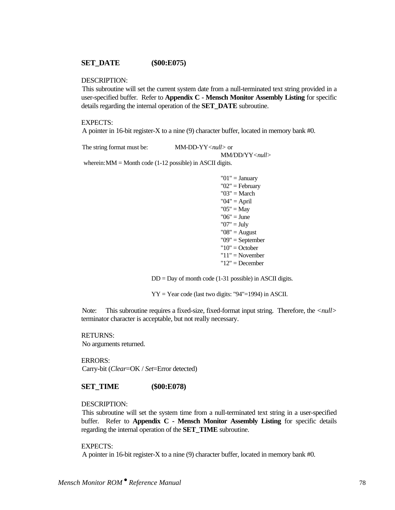### **SET\_DATE (\$00:E075)**

#### DESCRIPTION:

This subroutine will set the current system date from a null-terminated text string provided in a user-specified buffer. Refer to **Appendix C - Mensch Monitor Assembly Listing** for specific details regarding the internal operation of the **SET\_DATE** subroutine.

#### EXPECTS:

A pointer in 16-bit register-X to a nine (9) character buffer, located in memory bank #0.

| The string format must be:                                  | $MM-DD-YY < null>$ or |
|-------------------------------------------------------------|-----------------------|
|                                                             | MM/DD/YY < null>      |
| wherein: $MM = Month code (1-12 possible)$ in ASCII digits. |                       |

 $"01" = January$ "02" = February  $"03" = March$  $"04" = April$ "05" = May "06" = June "07" = July  $"08" = August$ "09" = September  $"10" = October$  $"11" = November$ "12" = December

 $DD = Day$  of month code (1-31 possible) in ASCII digits.

 $YY = Year code$  (last two digits: "94"=1994) in ASCII.

Note: This subroutine requires a fixed-size, fixed-format input string. Therefore, the *<null>* terminator character is acceptable, but not really necessary.

RETURNS: No arguments returned.

ERRORS: Carry-bit (*Clear*=OK / *Set*=Error detected)

#### **SET TIME (\$00:E078)**

#### DESCRIPTION:

This subroutine will set the system time from a null-terminated text string in a user-specified buffer. Refer to **Appendix C - Mensch Monitor Assembly Listing** for specific details regarding the internal operation of the **SET\_TIME** subroutine.

#### EXPECTS:

A pointer in 16-bit register-X to a nine (9) character buffer, located in memory bank #0.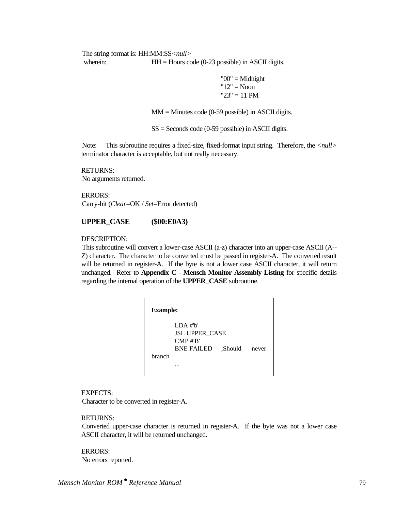The string format is: HH:MM:SS*<null>* wherein:  $HH =$  Hours code (0-23 possible) in ASCII digits.

> $"00" = Midnight$ "12" = Noon "23" = 11 PM

 $MM =$  Minutes code (0-59 possible) in ASCII digits.

 $SS =$  Seconds code (0-59 possible) in ASCII digits.

Note: This subroutine requires a fixed-size, fixed-format input string. Therefore, the *<null>* terminator character is acceptable, but not really necessary.

RETURNS: No arguments returned.

ERRORS: Carry-bit (*Clear*=OK / *Set*=Error detected)

### **UPPER\_CASE (\$00:E0A3)**

### DESCRIPTION:

This subroutine will convert a lower-case ASCII (a-z) character into an upper-case ASCII (A-- Z) character. The character to be converted must be passed in register-A. The converted result will be returned in register-A. If the byte is not a lower case ASCII character, it will return unchanged. Refer to **Appendix C - Mensch Monitor Assembly Listing** for specific details regarding the internal operation of the **UPPER\_CASE** subroutine.

| <b>Example:</b> |                       |         |       |  |
|-----------------|-----------------------|---------|-------|--|
|                 | $LDA$ #'b'            |         |       |  |
|                 | <b>JSL UPPER CASE</b> |         |       |  |
|                 | $\text{CMP} \# 'B'$   |         |       |  |
|                 | <b>BNE FAILED</b>     | :Should | never |  |
| branch          |                       |         |       |  |
|                 |                       |         |       |  |
|                 |                       |         |       |  |

#### EXPECTS:

Character to be converted in register-A.

### RETURNS:

Converted upper-case character is returned in register-A. If the byte was not a lower case ASCII character, it will be returned unchanged.

ERRORS: No errors reported.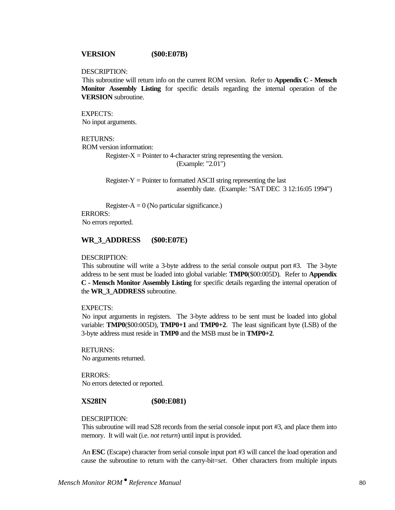### **VERSION (\$00:E07B)**

#### DESCRIPTION:

This subroutine will return info on the current ROM version. Refer to **Appendix C - Mensch Monitor Assembly Listing** for specific details regarding the internal operation of the **VERSION** subroutine.

EXPECTS: No input arguments.

RETURNS: ROM version information: Register- $X =$  Pointer to 4-character string representing the version. (Example: "2.01")

> $Register-Y = Pointer to formatted ASCII string representing the last$ assembly date. (Example: "SAT DEC 3 12:16:05 1994")

Register- $A = 0$  (No particular significance.) ERRORS: No errors reported.

#### **WR\_3\_ADDRESS (\$00:E07E)**

#### DESCRIPTION:

This subroutine will write a 3-byte address to the serial console output port #3. The 3-byte address to be sent must be loaded into global variable: **TMP0**(\$00:005D). Refer to **Appendix C - Mensch Monitor Assembly Listing** for specific details regarding the internal operation of the **WR\_3\_ADDRESS** subroutine.

#### EXPECTS:

No input arguments in registers. The 3-byte address to be sent must be loaded into global variable: **TMP0**(\$00:005D), **TMP0+1** and **TMP0+2**. The least significant byte (LSB) of the 3-byte address must reside in **TMP0** and the MSB must be in **TMP0+2**.

RETURNS: No arguments returned.

ERRORS: No errors detected or reported.

#### **XS28IN (\$00:E081)**

#### DESCRIPTION:

This subroutine will read S28 records from the serial console input port #3, and place them into memory. It will wait (i.e. *not return*) until input is provided.

An **ESC** (Escape) character from serial console input port #3 will cancel the load operation and cause the subroutine to return with the carry-bit=*set*. Other characters from multiple inputs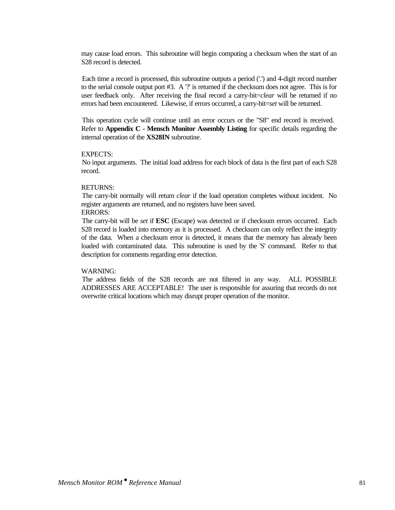may cause load errors. This subroutine will begin computing a checksum when the start of an S28 record is detected.

Each time a record is processed, this subroutine outputs a period ('.') and 4-digit record number to the serial console output port #3. A '?' is returned if the checksum does not agree. This is for user feedback only. After receiving the final record a carry-bit=*clear* will be returned if no errors had been encountered. Likewise, if errors occurred, a carry-bit=*set* will be returned.

This operation cycle will continue until an error occurs or the "S8" end record is received. Refer to **Appendix C - Mensch Monitor Assembly Listing** for specific details regarding the internal operation of the **XS28IN** subroutine.

#### EXPECTS:

No input arguments. The initial load address for each block of data is the first part of each S28 record.

#### RETURNS:

The carry-bit normally will return *clear* if the load operation completes without incident. No register arguments are returned, and no registers have been saved.

### ERRORS:

The carry-bit will be *set* if **ESC** (Escape) was detected or if checksum errors occurred. Each S28 record is loaded into memory as it is processed. A checksum can only reflect the integrity of the data. When a checksum error is detected, it means that the memory has already been loaded with contaminated data. This subroutine is used by the 'S' command. Refer to that description for comments regarding error detection.

#### WARNING:

The address fields of the S28 records are not filtered in any way. ALL POSSIBLE ADDRESSES ARE ACCEPTABLE! The user is responsible for assuring that records do not overwrite critical locations which may disrupt proper operation of the monitor.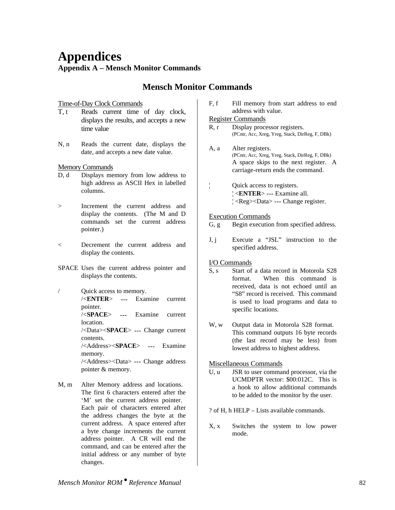# **Appendices Appendix A – Mensch Monitor Commands**

## **Mensch Monitor Commands**

#### Time-of-Day Clock Commands

- T, t Reads current time of day clock, displays the results, and accepts a new time value
- N, n Reads the current date, displays the date, and accepts a new date value.

Memory Commands

- D, d Displays memory from low address to high address as ASCII Hex in labelled columns.
- > Increment the current address and display the contents. (The M and D commands set the current address pointer.)
- < Decrement the current address and display the contents.
- SPACE Uses the current address pointer and displays the contents.
- / Quick access to memory. /<**ENTER**> --- Examine current pointer. /<**SPACE**> --- Examine current location. /<Data><**SPACE**> --- Change current contents. /<Address><**SPACE**> --- Examine memory. /<Address><Data> --- Change address pointer & memory.
- M, m Alter Memory address and locations. The first 6 characters entered after the 'M' set the current address pointer. Each pair of characters entered after the address changes the byte at the current address. A space entered after a byte change increments the current address pointer. A CR will end the command, and can be entered after the initial address or any number of byte changes.

F, f Fill memory from start address to end address with value.

Register Commands

R, r Display processor registers. (PCntr, Acc, Xreg, Yreg, Stack, DirReg, F, DBk)

- A, a Alter registers. (PCntr, Acc, Xreg, Yreg, Stack, DirReg, F, DBk) A space skips to the next register. A carriage-return ends the command.
- ¦ Quick access to registers. ¦ <**ENTER**> --- Examine all. ¦ <Reg><Data> --- Change register.

#### Execution Commands

- G, g Begin execution from specified address.
- J, j Execute a "JSL" instruction to the specified address.

I/O Commands

- S, s Start of a data record in Motorola S28 format. When this command is received, data is not echoed until an "S8" record is received. This command is used to load programs and data to specific locations.
- W, w Output data in Motorola S28 format. This command outputs 16 byte records (the last record may be less) from lowest address to highest address.

Miscellaneous Commands

- JSR to user command processor, via the UCMDPTR vector: \$00:012C. This is a hook to allow additional commands to be added to the monitor by the user.
- ? of H, h HELP Lists available commands.
- X, x Switches the system to low power mode.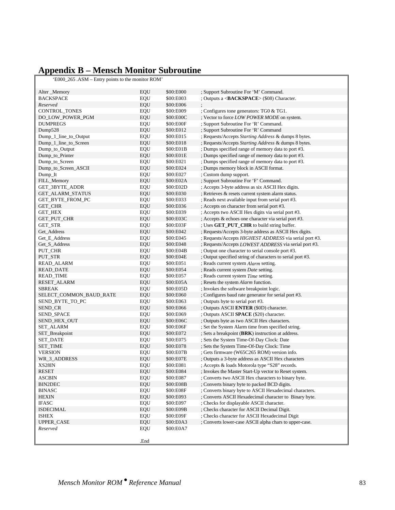### **Appendix B – Mensch Monitor Subroutine**

'E000\_265 .ASM – Entry points to the monitor ROM'

| Alter_Memory            | <b>EQU</b> | \$00:E000 | ; Support Subroutine For 'M' Command.                      |
|-------------------------|------------|-----------|------------------------------------------------------------|
| <b>BACKSPACE</b>        | EQU        | \$00:E003 | ; Outputs a < <b>BACKSPACE</b> > (\$08) Character.         |
| Reserved                | EQU        | \$00:E006 |                                                            |
| CONTROL_TONES           | EQU        | \$00:E009 | ; Configures tone generators: TG0 & TG1.                   |
| DO_LOW_POWER_PGM        | EQU        | \$00:E00C | ; Vector to force LOW POWER MODE on system.                |
| <b>DUMPREGS</b>         | EQU        | \$00:E00F | ; Support Subroutine For 'R' Command.                      |
| Dump528                 | EQU        | \$00:E012 | ; Support Subroutine For 'R' Command                       |
| Dump_1_line_to_Output   | EQU        | \$00:E015 | ; Requests/Accepts Starting Address & dumps 8 bytes.       |
| Dump_1_line_to_Screen   | EQU        | \$00:E018 | ; Requests/Accepts Starting Address & dumps 8 bytes.       |
| Dump_to_Output          | EQU        | \$00:E01B | ; Dumps specified range of memory data to port #3.         |
| Dump_to_Printer         | EQU        | \$00:E01E | ; Dumps specified range of memory data to port #3.         |
| Dump_to_Screen          | EQU        | \$00:E021 | ; Dumps specified range of memory data to port #3.         |
| Dump_to_Screen_ASCII    | EQU        | \$00:E024 | ; Dumps memory block in ASCII format.                      |
| Dump_It                 | EQU        | \$00:E027 | ; Custom dump support.                                     |
| FILL_Memory             | EQU        | \$00:E02A | ; Support Subroutine For 'F' Command.                      |
| GET_3BYTE_ADDR          | EQU        | \$00:E02D | ; Accepts 3-byte address as six ASCII Hex digits.          |
| GET_ALARM_STATUS        | EQU        | \$00:E030 | ; Retrieves & resets current system alarm status.          |
| GET_BYTE_FROM_PC        | EQU        | \$00:E033 | ; Reads next available input from serial port #3.          |
| GET_CHR                 | EQU        | \$00:E036 | ; Accepts on character from serial port #3.                |
| GET_HEX                 | EQU        | \$00:E039 | ; Accepts two ASCII Hex digits via serial port #3.         |
| GET_PUT_CHR             | EQU        | \$00:E03C | ; Accepts & echoes one character via serial port #3.       |
| GET_STR                 | EQU        | \$00:E03F | ; Uses GET_PUT_CHR to build string buffer.                 |
| Get_Address             | EQU        | \$00:E042 | ; Requests/Accepts 3-byte address as ASCII Hex digits.     |
| Get E Address           | EQU        | \$00:E045 | ; Requests/Accepts HIGHEST ADDRESS via serial port #3.     |
| Get_S_Address           | EQU        | \$00:E048 | ; Requests/Accepts LOWEST ADDRESS via serial port #3.      |
| PUT_CHR                 | EQU        | \$00:E04B | ; Output one character to serial console port #3.          |
| PUT_STR                 | EQU        | \$00:E04E | ; Output specified string of characters to serial port #3. |
| READ_ALARM              | EQU        | \$00:E051 | ; Reads current system Alarm setting.                      |
| <b>READ DATE</b>        | EQU        | \$00:E054 | ; Reads current system Date setting.                       |
| READ_TIME               | EQU        | \$00:E057 | ; Reads current system Time setting.                       |
| RESET_ALARM             | EQU        | \$00:E05A | ; Resets the system Alarm function.                        |
| <b>SBREAK</b>           | EQU        | \$00:E05D | ; Invokes the software breakpoint logic.                   |
| SELECT_COMMON_BAUD_RATE | EQU        | \$00:E060 | ; Configures baud rate generator for serial port #3.       |
| SEND_BYTE_TO_PC         | EQU        | \$00:E063 | ; Outputs byte to serial port #3.                          |
| SEND_CR                 | EQU        | \$00:E066 | ; Outputs ASCII ENTER (\$0D) character.                    |
| SEND_SPACE              | EQU        | \$00:E069 | ; Outputs ASCII SPACE (\$20) character.                    |
| SEND_HEX_OUT            | EQU        | \$00:E06C | ; Outputs byte as two ASCII Hex characters.                |
| SET_ALARM               | EQU        | \$00:E06F | ; Set the System Alarm time from specified string.         |
| SET_Breakpoint          | EQU        | \$00:E072 | ; Sets a breakpoint (BRK) instruction at address.          |
| SET_DATE                | EQU        | \$00:E075 | ; Sets the System Time-Of-Day Clock: Date                  |
| SET_TIME                | EQU        | \$00:E078 | ; Sets the System Time-Of-Day Clock: Time                  |
| <b>VERSION</b>          | EQU        | \$00:E07B | ; Gets firmware (W65C265 ROM) version info.                |
| WR_3_ADDRESS            | EQU        | \$00:E07E | ; Outputs a 3-byte address as ASCII Hex characters         |
| XS28IN                  | EQU        | \$00:E081 | ; Accepts & loads Motorola type "S28" records.             |
| RESET                   | EQU        | \$00:E084 | ; Invokes the Master Start-Up vector to Reset system.      |
| <b>ASCBIN</b>           | EQU        | \$00:E087 | ; Converts two ASCII Hex characters to binary byte.        |
| <b>BIN2DEC</b>          | EQU        | \$00:E08B | ; Converts binary byte to packed BCD digits.               |
| <b>BINASC</b>           | EQU        | \$00:E08F | ; Converts binary byte to ASCII Hexadecimal characters.    |
| <b>HEXIN</b>            | EQU        | \$00:E093 | ; Converts ASCII Hexadecimal character to Binary byte.     |
| <b>IFASC</b>            | EQU        | \$00:E097 | ; Checks for displayable ASCII character.                  |
| <b>ISDECIMAL</b>        | EQU        | \$00:E09B | ; Checks character for ASCII Decimal Digit.                |
| <b>ISHEX</b>            | EQU        | \$00:E09F | ; Checks character for ASCII Hexadecimal Digit             |
| <b>UPPER_CASE</b>       | <b>EQU</b> | \$00:E0A3 | ; Converts lower-case ASCII alpha chars to upper-case.     |
| Reserved                | EQU        | \$00:E0A7 |                                                            |
|                         |            |           |                                                            |
|                         | .End       |           |                                                            |